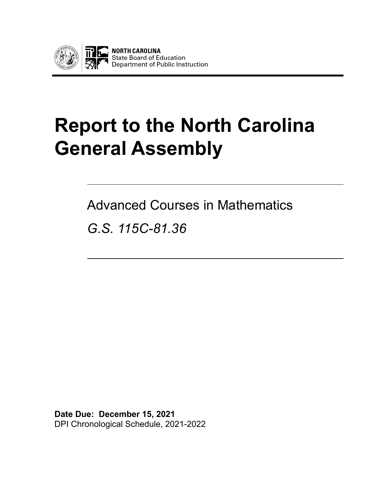

# **Report to the North Carolina General Assembly**

Advanced Courses in Mathematics

*G.S. 115C-81.36*

**Date Due: December 15, 2021** DPI Chronological Schedule, 2021-2022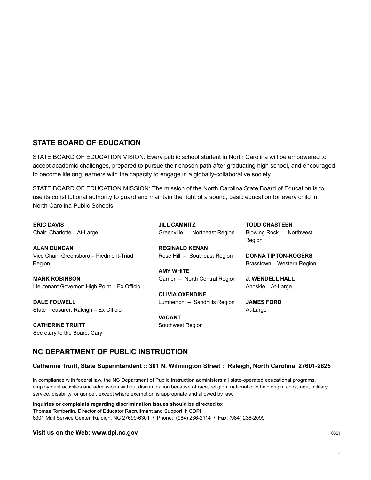#### **STATE BOARD OF EDUCATION**

STATE BOARD OF EDUCATION VISION: Every public school student in North Carolina will be empowered to accept academic challenges, prepared to pursue their chosen path after graduating high school, and encouraged to become lifelong learners with the capacity to engage in a globally-collaborative society.

STATE BOARD OF EDUCATION MISSION: The mission of the North Carolina State Board of Education is to use its constitutional authority to guard and maintain the right of a sound, basic education for every child in North Carolina Public Schools.

**ERIC DAVIS** Chair: Charlotte – At-Large

**ALAN DUNCAN** Vice Chair: Greensboro – Piedmont-Triad Region

**MARK ROBINSON** Lieutenant Governor: High Point – Ex Officio

**DALE FOLWELL** State Treasurer: Raleigh – Ex Officio

**CATHERINE TRUITT** Secretary to the Board: Cary **JILL CAMNITZ** Greenville – Northeast Region

**REGINALD KENAN** Rose Hill – Southeast Region

**AMY WHITE** Garner – North Central Region

**OLIVIA OXENDINE** Lumberton – Sandhills Region

**VACANT** Southwest Region **TODD CHASTEEN** Blowing Rock – Northwest Region

**DONNA TIPTON-ROGERS** Brasstown – Western Region

**J. WENDELL HALL** Ahoskie – At-Large

**JAMES FORD** At-Large

### **NC DEPARTMENT OF PUBLIC INSTRUCTION**

#### **Catherine Truitt, State Superintendent :: 301 N. Wilmington Street :: Raleigh, North Carolina 27601-2825**

In compliance with federal law, the NC Department of Public Instruction administers all state-operated educational programs, employment activities and admissions without discrimination because of race, religion, national or ethnic origin, color, age, military service, disability, or gender, except where exemption is appropriate and allowed by law.

**Inquiries or complaints regarding discrimination issues should be directed to:** Thomas Tomberlin, Director of Educator Recruitment and Support, NCDPI 6301 Mail Service Center, Raleigh, NC 27699-6301 / Phone: (984) 236-2114 / Fax: (984) 236-2099

#### **Visit us on the Web: www.dpi.nc.gov** <sup>0321</sup>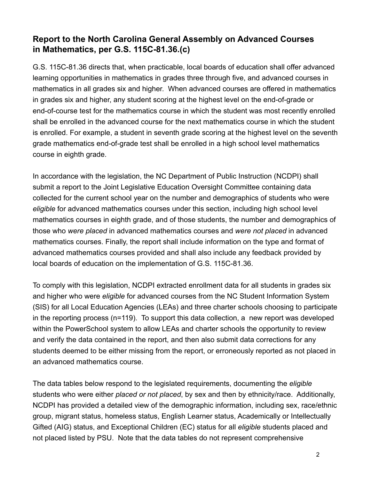# **Report to the North Carolina General Assembly on Advanced Courses in Mathematics, per G.S. 115C-81.36.(c)**

G.S. 115C-81.36 directs that, when practicable, local boards of education shall offer advanced learning opportunities in mathematics in grades three through five, and advanced courses in mathematics in all grades six and higher. When advanced courses are offered in mathematics in grades six and higher, any student scoring at the highest level on the end-of-grade or end-of-course test for the mathematics course in which the student was most recently enrolled shall be enrolled in the advanced course for the next mathematics course in which the student is enrolled. For example, a student in seventh grade scoring at the highest level on the seventh grade mathematics end-of-grade test shall be enrolled in a high school level mathematics course in eighth grade.

In accordance with the legislation, the NC Department of Public Instruction (NCDPI) shall submit a report to the Joint Legislative Education Oversight Committee containing data collected for the current school year on the number and demographics of students who were *eligible* for advanced mathematics courses under this section, including high school level mathematics courses in eighth grade, and of those students, the number and demographics of those who *were placed* in advanced mathematics courses and *were not placed* in advanced mathematics courses. Finally, the report shall include information on the type and format of advanced mathematics courses provided and shall also include any feedback provided by local boards of education on the implementation of G.S. 115C-81.36.

To comply with this legislation, NCDPI extracted enrollment data for all students in grades six and higher who were *eligible* for advanced courses from the NC Student Information System (SIS) for all Local Education Agencies (LEAs) and three charter schools choosing to participate in the reporting process (n=119). To support this data collection, a new report was developed within the PowerSchool system to allow LEAs and charter schools the opportunity to review and verify the data contained in the report, and then also submit data corrections for any students deemed to be either missing from the report, or erroneously reported as not placed in an advanced mathematics course.

The data tables below respond to the legislated requirements, documenting the *eligible* students who were either *placed or not placed*, by sex and then by ethnicity/race. Additionally, NCDPI has provided a detailed view of the demographic information, including sex, race/ethnic group, migrant status, homeless status, English Learner status, Academically or Intellectually Gifted (AIG) status, and Exceptional Children (EC) status for all *eligible* students placed and not placed listed by PSU. Note that the data tables do not represent comprehensive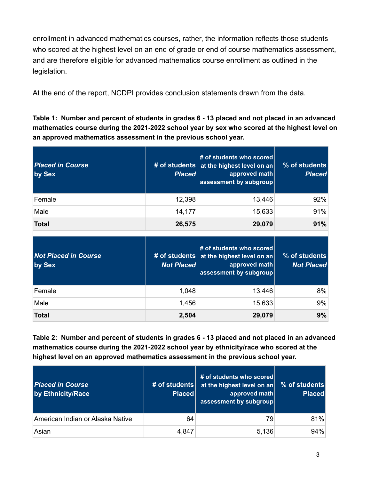enrollment in advanced mathematics courses, rather, the information reflects those students who scored at the highest level on an end of grade or end of course mathematics assessment, and are therefore eligible for advanced mathematics course enrollment as outlined in the legislation.

At the end of the report, NCDPI provides conclusion statements drawn from the data.

Table 1: Number and percent of students in grades 6 - 13 placed and not placed in an advanced **mathematics course during the 2021-2022 school year by sex who scored at the highest level on an approved mathematics assessment in the previous school year.**

| <b>Placed in Course</b><br>by Sex     | # of students<br><b>Placed</b>     | # of students who scored<br>at the highest level on an<br>approved math<br>assessment by subgroup | % of students<br><b>Placed</b>     |
|---------------------------------------|------------------------------------|---------------------------------------------------------------------------------------------------|------------------------------------|
| Female                                | 12,398                             | 13,446                                                                                            | 92%                                |
| Male                                  | 14,177                             | 15,633                                                                                            | 91%                                |
| <b>Total</b>                          | 26,575                             | 29,079                                                                                            | 91%                                |
|                                       |                                    | # of students who scored                                                                          |                                    |
| <b>Not Placed in Course</b><br>by Sex | # of students<br><b>Not Placed</b> | at the highest level on an<br>approved math<br>assessment by subgroup                             | % of students<br><b>Not Placed</b> |
| Female                                | 1,048                              | 13,446                                                                                            | 8%                                 |
| Male                                  | 1,456                              | 15,633                                                                                            | 9%                                 |

Table 2: Number and percent of students in grades 6 - 13 placed and not placed in an advanced **mathematics course during the 2021-2022 school year by ethnicity/race who scored at the highest level on an approved mathematics assessment in the previous school year.**

| <b>Placed in Course</b><br>by Ethnicity/Race | # of students<br><b>Placed</b> | # of students who scored<br>at the highest level on an<br>approved math<br>assessment by subgroup | % of students<br><b>Placed</b> |
|----------------------------------------------|--------------------------------|---------------------------------------------------------------------------------------------------|--------------------------------|
| American Indian or Alaska Native             | 64                             | 79                                                                                                | 81%                            |
| Asian                                        | 4,847                          | 5,136                                                                                             | 94%                            |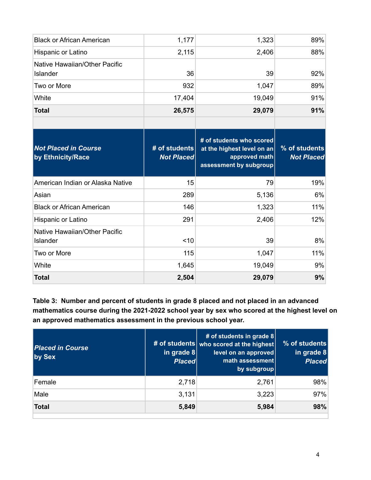| <b>Black or African American</b>                 | 1,177                              | 1,323                                                                                             | 89%                                |
|--------------------------------------------------|------------------------------------|---------------------------------------------------------------------------------------------------|------------------------------------|
| Hispanic or Latino                               | 2,115                              | 2,406                                                                                             | 88%                                |
| Native Hawaiian/Other Pacific<br>Islander        | 36                                 | 39                                                                                                | 92%                                |
| Two or More                                      | 932                                | 1,047                                                                                             | 89%                                |
| White                                            | 17,404                             | 19,049                                                                                            | 91%                                |
| <b>Total</b>                                     | 26,575                             | 29,079                                                                                            | 91%                                |
|                                                  |                                    |                                                                                                   |                                    |
| <b>Not Placed in Course</b><br>by Ethnicity/Race | # of students<br><b>Not Placed</b> | # of students who scored<br>at the highest level on an<br>approved math<br>assessment by subgroup | % of students<br><b>Not Placed</b> |
| American Indian or Alaska Native                 | 15                                 | 79                                                                                                | 19%                                |
| Asian                                            | 289                                | 5,136                                                                                             | 6%                                 |
| <b>Black or African American</b>                 | 146                                | 1,323                                                                                             | 11%                                |
| Hispanic or Latino                               | 291                                | 2,406                                                                                             | 12%                                |
| Native Hawaiian/Other Pacific<br><b>Islander</b> |                                    |                                                                                                   |                                    |
|                                                  | < 10                               | 39                                                                                                | 8%                                 |
| Two or More                                      | 115                                | 1,047                                                                                             | 11%                                |
| White                                            | 1,645                              | 19,049                                                                                            | 9%                                 |

**Table 3: Number and percent of students in grade 8 placed and not placed in an advanced mathematics course during the 2021-2022 school year by sex who scored at the highest level on an approved mathematics assessment in the previous school year.**

| <b>Placed in Course</b><br>by Sex | in grade $8$<br><b>Placed</b> | # of students in grade $8$<br># of students who scored at the highest<br>level on an approved<br>math assessment<br>by subgroup | % of students<br>in grade $8$<br><b>Placed</b> |
|-----------------------------------|-------------------------------|---------------------------------------------------------------------------------------------------------------------------------|------------------------------------------------|
| Female                            | 2,718                         | 2,761                                                                                                                           | 98%                                            |
| Male                              | 3,131                         | 3,223                                                                                                                           | 97%                                            |
| <b>Total</b>                      | 5,849                         | 5,984                                                                                                                           | 98%                                            |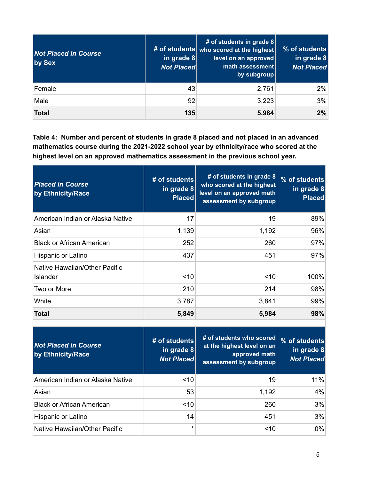| <b>Not Placed in Course</b><br>by Sex | $\vert$ in grade 8<br><b>Not Placed</b> | # of students in grade $8$<br># of students who scored at the highest<br>level on an approved<br>math assessment<br>by subgroup | % of students<br>in grade $8$<br><b>Not Placed</b> |
|---------------------------------------|-----------------------------------------|---------------------------------------------------------------------------------------------------------------------------------|----------------------------------------------------|
| Female                                | 43                                      | 2,761                                                                                                                           | 2%                                                 |
| Male                                  | 92                                      | 3,223                                                                                                                           | 3%                                                 |
| <b>Total</b>                          | 135                                     | 5,984                                                                                                                           | 2%                                                 |

**Table 4: Number and percent of students in grade 8 placed and not placed in an advanced mathematics course during the 2021-2022 school year by ethnicity/race who scored at the highest level on an approved mathematics assessment in the previous school year.**

| <b>Placed in Course</b><br>by Ethnicity/Race     | # of students<br>in grade $8$<br><b>Placed</b> | # of students in grade 8<br>who scored at the highest<br>level on an approved math<br>assessment by subgroup | % of students<br>in grade $8$<br><b>Placed</b> |
|--------------------------------------------------|------------------------------------------------|--------------------------------------------------------------------------------------------------------------|------------------------------------------------|
| American Indian or Alaska Native                 | 17                                             | 19                                                                                                           | 89%                                            |
| Asian                                            | 1,139                                          | 1,192                                                                                                        | 96%                                            |
| <b>Black or African American</b>                 | 252                                            | 260                                                                                                          | 97%                                            |
| Hispanic or Latino                               | 437                                            | 451                                                                                                          | 97%                                            |
| Native Hawaiian/Other Pacific<br><b>Islander</b> | < 10                                           | ~10                                                                                                          | 100%                                           |
| Two or More                                      | 210                                            | 214                                                                                                          | 98%                                            |
| White                                            | 3,787                                          | 3,841                                                                                                        | 99%                                            |
| <b>Total</b>                                     | 5,849                                          | 5,984                                                                                                        | 98%                                            |

| <b>Not Placed in Course</b><br>by Ethnicity/Race | # of students<br>in grade $8$<br><b>Not Placed</b> | # of students who scored<br>at the highest level on an<br>approved math<br>assessment by subgroup | $%$ of students<br>in grade $8$<br><b>Not Placed</b> |
|--------------------------------------------------|----------------------------------------------------|---------------------------------------------------------------------------------------------------|------------------------------------------------------|
| American Indian or Alaska Native                 | ~10                                                | 19                                                                                                | 11%                                                  |
| Asian                                            | 53                                                 | 1,192                                                                                             | 4%                                                   |
| <b>Black or African American</b>                 | ~10                                                | 260                                                                                               | 3%                                                   |
| Hispanic or Latino                               | 14                                                 | 451                                                                                               | 3%                                                   |
| Native Hawaiian/Other Pacific                    | $^\star$                                           | 10                                                                                                | $0\%$                                                |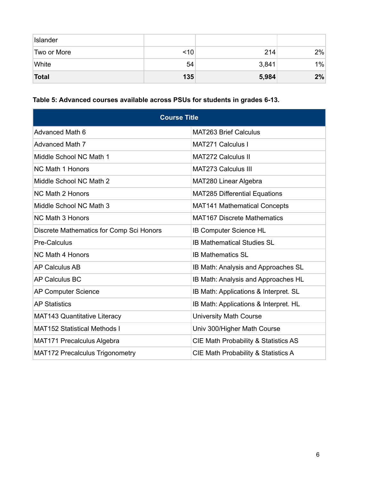| Islander     |           |       |    |
|--------------|-----------|-------|----|
| Two or More  | $\leq 10$ | 214   | 2% |
| White        | 54        | 3,841 | 1% |
| <b>Total</b> | 135       | 5,984 | 2% |

# **Table 5: Advanced courses available across PSUs for students in grades 6-13.**

| <b>Course Title</b>                      |                                       |  |  |  |  |  |
|------------------------------------------|---------------------------------------|--|--|--|--|--|
| <b>Advanced Math 6</b>                   | <b>MAT263 Brief Calculus</b>          |  |  |  |  |  |
| <b>Advanced Math 7</b>                   | <b>MAT271 Calculus I</b>              |  |  |  |  |  |
| Middle School NC Math 1                  | <b>MAT272 Calculus II</b>             |  |  |  |  |  |
| <b>NC Math 1 Honors</b>                  | <b>MAT273 Calculus III</b>            |  |  |  |  |  |
| Middle School NC Math 2                  | MAT280 Linear Algebra                 |  |  |  |  |  |
| <b>NC Math 2 Honors</b>                  | <b>MAT285 Differential Equations</b>  |  |  |  |  |  |
| Middle School NC Math 3                  | <b>MAT141 Mathematical Concepts</b>   |  |  |  |  |  |
| <b>NC Math 3 Honors</b>                  | <b>MAT167 Discrete Mathematics</b>    |  |  |  |  |  |
| Discrete Mathematics for Comp Sci Honors | <b>IB Computer Science HL</b>         |  |  |  |  |  |
| <b>Pre-Calculus</b>                      | <b>IB Mathematical Studies SL</b>     |  |  |  |  |  |
| <b>NC Math 4 Honors</b>                  | <b>IB Mathematics SL</b>              |  |  |  |  |  |
| <b>AP Calculus AB</b>                    | IB Math: Analysis and Approaches SL   |  |  |  |  |  |
| <b>AP Calculus BC</b>                    | IB Math: Analysis and Approaches HL   |  |  |  |  |  |
| <b>AP Computer Science</b>               | IB Math: Applications & Interpret. SL |  |  |  |  |  |
| <b>AP Statistics</b>                     | IB Math: Applications & Interpret. HL |  |  |  |  |  |
| <b>MAT143 Quantitative Literacy</b>      | <b>University Math Course</b>         |  |  |  |  |  |
| <b>MAT152 Statistical Methods I</b>      | Univ 300/Higher Math Course           |  |  |  |  |  |
| MAT171 Precalculus Algebra               | CIE Math Probability & Statistics AS  |  |  |  |  |  |
| <b>MAT172 Precalculus Trigonometry</b>   | CIE Math Probability & Statistics A   |  |  |  |  |  |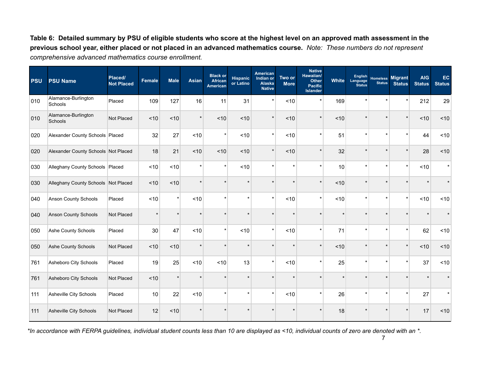Table 6: Detailed summary by PSU of eligible students who score at the highest level on an approved math assessment in the previous school year, either placed or not placed in an advanced mathematics course. Note: These numbers do not represent *comprehensive advanced mathematics course enrollment.*

| <b>PSU</b> | <b>PSU Name</b>                     | Placed/<br><b>Not Placed</b> | <b>Female</b> | <b>Male</b> | <b>Asian</b> | <b>Black or</b><br>African<br><b>American</b> | <b>Hispanic</b><br>or Latino | American<br>Indian or<br>Alaska<br><b>Native</b> | Two or<br><b>More</b> | <b>Native</b><br>Hawaiian/<br><b>Other</b><br><b>Pacific</b><br><b>Islander</b> | <b>White</b> | English<br>Language<br><b>Status</b> | <b>Homeless</b><br><b>Status</b> | <b>Migrant</b><br><b>Status</b> | <b>AIG</b><br><b>Status</b> | EC<br><b>Status</b> |
|------------|-------------------------------------|------------------------------|---------------|-------------|--------------|-----------------------------------------------|------------------------------|--------------------------------------------------|-----------------------|---------------------------------------------------------------------------------|--------------|--------------------------------------|----------------------------------|---------------------------------|-----------------------------|---------------------|
| 010        | Alamance-Burlington<br>Schools      | Placed                       | 109           | 127         | 16           | 11                                            | 31                           | $\star$                                          | $<10$                 | $\star$                                                                         | 169          |                                      |                                  |                                 | 212                         | 29                  |
| 010        | Alamance-Burlington<br>Schools      | Not Placed                   | ~10           | ~10         | $\star$      | ~10                                           | ~10                          | $\star$                                          | ~10                   | $\star$                                                                         | ~10          |                                      |                                  |                                 | ~10                         | ~10                 |
| 020        | Alexander County Schools Placed     |                              | 32            | 27          | ~10          | $\star$                                       | ~10                          | $\star$                                          | $<10$                 | $\star$                                                                         | 51           |                                      |                                  |                                 | 44                          | ~10                 |
| 020        | Alexander County Schools Not Placed |                              | 18            | 21          | ~10          | ~10                                           | ~10                          | $\star$                                          | ~10                   | $\star$                                                                         | 32           |                                      |                                  |                                 | 28                          | ~10                 |
| 030        | Alleghany County Schools Placed     |                              | ~10           | ~10         | $\star$      | $\star$                                       | ~10                          |                                                  |                       | $\star$                                                                         | 10           |                                      |                                  |                                 | ~10                         | $\star$             |
| 030        | Alleghany County Schools Not Placed |                              | ~10           | ~10         | $\star$      |                                               |                              |                                                  |                       | $\star$                                                                         | ~10          |                                      |                                  |                                 | $\star$                     |                     |
| 040        | Anson County Schools                | Placed                       | < 10          | $\star$     | ~10          |                                               |                              | $\star$                                          | < 10                  | $\star$                                                                         | ~10          |                                      |                                  | $\star$                         | ~10                         | ~10                 |
| 040        | <b>Anson County Schools</b>         | Not Placed                   | $\star$       | $\star$     | $\star$      |                                               |                              |                                                  |                       | $\star$                                                                         |              |                                      |                                  |                                 | $\star$                     |                     |
| 050        | Ashe County Schools                 | Placed                       | 30            | 47          | < 10         | $\star$                                       | ~10                          | $\star$                                          | < 10                  | $\star$                                                                         | 71           |                                      |                                  |                                 | 62                          | ~10                 |
| 050        | Ashe County Schools                 | Not Placed                   | ~10           | ~10         | $\star$      |                                               |                              |                                                  |                       | $\star$                                                                         | ~10          |                                      |                                  |                                 | ~10                         | ~10                 |
| 761        | Asheboro City Schools               | Placed                       | 19            | 25          | ~10          | ~10                                           | 13                           | $\star$                                          | $<10$                 | $\star$                                                                         | 25           | $\star$                              |                                  |                                 | 37                          | ~10                 |
| 761        | Asheboro City Schools               | Not Placed                   | ~10           | $\star$     | ×            |                                               |                              |                                                  |                       |                                                                                 |              |                                      |                                  |                                 |                             |                     |
| 111        | Asheville City Schools              | Placed                       | 10            | 22          | ~10          |                                               | $\star$                      | $\star$                                          | ~10                   | $\star$                                                                         | 26           | $\star$                              |                                  |                                 | 27                          | $\star$             |
| 111        | Asheville City Schools              | Not Placed                   | 12            | ~10         |              |                                               |                              |                                                  |                       |                                                                                 | 18           |                                      |                                  |                                 | 17                          | ~10                 |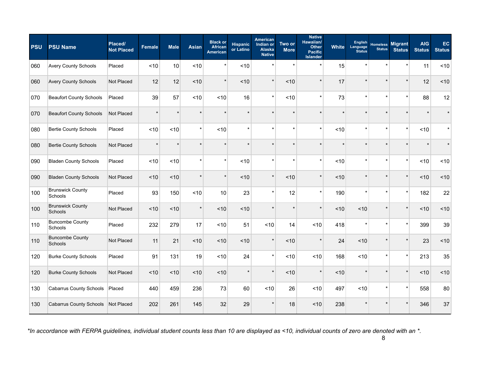| <b>PSU</b> | <b>PSU Name</b>                    | Placed/<br><b>Not Placed</b> | Female  | <b>Male</b> | <b>Asian</b> | <b>Black or</b><br><b>African</b><br><b>American</b> | <b>Hispanic</b><br>or Latino | <b>American</b><br>Indian or<br>Alaska<br><b>Native</b> | Two or<br><b>More</b> | <b>Native</b><br>Hawaiian/<br><b>Other</b><br><b>Pacific</b><br><b>Islander</b> | <b>White</b> | <b>English</b><br>Language<br><b>Status</b> | <b>Homeless</b><br><b>Status</b> | <b>Migrant</b><br><b>Status</b> | <b>AIG</b><br><b>Status</b> | EC<br><b>Status</b> |
|------------|------------------------------------|------------------------------|---------|-------------|--------------|------------------------------------------------------|------------------------------|---------------------------------------------------------|-----------------------|---------------------------------------------------------------------------------|--------------|---------------------------------------------|----------------------------------|---------------------------------|-----------------------------|---------------------|
| 060        | <b>Avery County Schools</b>        | Placed                       | ~10     | 10          | < 10         | $\star$                                              | ~10                          | $\star$                                                 |                       | $\star$                                                                         | 15           | $\star$                                     | $\star$                          |                                 | 11                          | ~10                 |
| 060        | <b>Avery County Schools</b>        | <b>Not Placed</b>            | 12      | 12          | < 10         | $\star$                                              | ~10                          | $\star$                                                 | < 10                  | $\star$                                                                         | 17           | $\star$                                     | $\star$                          | $\star$                         | 12                          | ~10                 |
| 070        | <b>Beaufort County Schools</b>     | Placed                       | 39      | 57          | ~10          | ~10                                                  | 16                           | $\star$                                                 | ~10                   | $\star$                                                                         | 73           | $\star$                                     | $\star$                          | $\star$                         | 88                          | 12                  |
| 070        | <b>Beaufort County Schools</b>     | Not Placed                   | $\star$ |             |              |                                                      |                              |                                                         |                       |                                                                                 |              |                                             | $\star$                          |                                 |                             |                     |
| 080        | <b>Bertie County Schools</b>       | Placed                       | ~10     | ~10         | $\star$      | ~10                                                  | $\star$                      | $\star$                                                 | $\ddot{\phantom{0}}$  | $\star$                                                                         | ~10          | $\star$                                     | $\star$                          | $\star$                         | ~10                         |                     |
| 080        | <b>Bertie County Schools</b>       | Not Placed                   | $\star$ |             | $\star$      | $\star$                                              |                              | $\star$                                                 |                       | $\star$                                                                         |              | ÷                                           | $\star$                          |                                 |                             |                     |
| 090        | <b>Bladen County Schools</b>       | Placed                       | < 10    | < 10        | $\star$      | $\star$                                              | ~10                          | $\star$                                                 | ź.                    | $\star$                                                                         | < 10         | $\star$                                     | $\star$                          | $\star$                         | ~10                         | ~10                 |
| 090        | <b>Bladen County Schools</b>       | Not Placed                   | < 10    | < 10        |              | $\star$                                              | < 10                         | $\star$                                                 | < 10                  |                                                                                 | < 10         |                                             |                                  |                                 | ~10                         | ~10                 |
| 100        | <b>Brunswick County</b><br>Schools | Placed                       | 93      | 150         | ~10          | 10                                                   | 23                           | $\star$                                                 | 12                    | $\star$                                                                         | 190          | $\star$                                     | $\star$                          | $\star$                         | 182                         | 22                  |
| 100        | <b>Brunswick County</b><br>Schools | Not Placed                   | ~10     | ~10         | $\star$      | 10                                                   | ~10                          | $\star$                                                 |                       | $\star$                                                                         | < 10         | ~10                                         | $\star$                          | $\star$                         | ~10                         | 10                  |
| 110        | <b>Buncombe County</b><br>Schools  | Placed                       | 232     | 279         | 17           | ~10                                                  | 51                           | ~10                                                     | 14                    | ~10                                                                             | 418          | $\star$                                     | $\star$                          | $\star$                         | 399                         | 39                  |
| 110        | <b>Buncombe County</b><br>Schools  | Not Placed                   | 11      | 21          | ~10          | ~10                                                  | ~10                          | $\star$                                                 | ~10                   |                                                                                 | 24           | < 10                                        |                                  |                                 | 23                          | ~10                 |
| 120        | <b>Burke County Schools</b>        | Placed                       | 91      | 131         | 19           | ~10                                                  | 24                           | $\star$                                                 | ~10                   | < 10                                                                            | 168          | ~10                                         | $\star$                          | $\star$                         | 213                         | 35                  |
| 120        | <b>Burke County Schools</b>        | Not Placed                   | ~10     | ~10         | < 10         | ~10                                                  | $\star$                      | $\star$                                                 | ~10                   | $\star$                                                                         | ~10          | $\star$                                     | $\star$                          | $\star$                         | ~10                         | ~10                 |
| 130        | <b>Cabarrus County Schools</b>     | Placed                       | 440     | 459         | 236          | 73                                                   | 60                           | ~10                                                     | 26                    | ~10                                                                             | 497          | ~10                                         | $\star$                          | $\star$                         | 558                         | 80                  |
| 130        | Cabarrus County Schools Not Placed |                              | 202     | 261         | 145          | 32                                                   | 29                           |                                                         | 18                    | ~10                                                                             | 238          |                                             |                                  |                                 | 346                         | 37                  |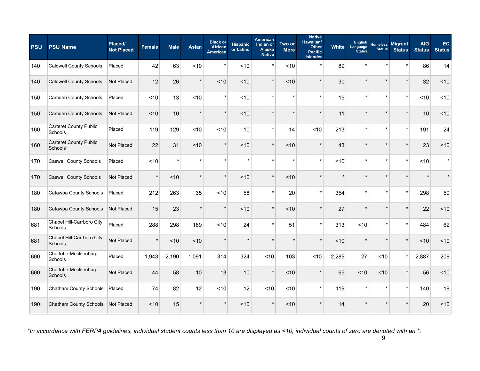| <b>PSU</b> | <b>PSU Name</b>                          | Placed/<br><b>Not Placed</b> | <b>Female</b> | <b>Male</b> | <b>Asian</b> | <b>Black or</b><br><b>African</b><br><b>American</b> | <b>Hispanic</b><br>or Latino | <b>American</b><br>Indian or<br><b>Alaska</b><br><b>Native</b> | Two or<br><b>More</b> | <b>Native</b><br>Hawaiian/<br><b>Other</b><br><b>Pacific</b><br><b>Islander</b> | <b>White</b> | English<br>Language<br><b>Status</b> | <b>Homeless</b><br><b>Status</b> | <b>Migrant</b><br><b>Status</b> | <b>AIG</b><br><b>Status</b> | EC.<br><b>Status</b> |
|------------|------------------------------------------|------------------------------|---------------|-------------|--------------|------------------------------------------------------|------------------------------|----------------------------------------------------------------|-----------------------|---------------------------------------------------------------------------------|--------------|--------------------------------------|----------------------------------|---------------------------------|-----------------------------|----------------------|
| 140        | <b>Caldwell County Schools</b>           | Placed                       | 42            | 63          | ~10          | $\star$                                              | ~10                          |                                                                | ~10                   | $\star$                                                                         | 89           | $\star$                              |                                  |                                 | 86                          | 14                   |
| 140        | <b>Caldwell County Schools</b>           | Not Placed                   | 12            | 26          | $\star$      | ~10                                                  | ~10                          | $\star$                                                        | ~10                   | $\star$                                                                         | 30           | $\star$                              |                                  |                                 | 32                          | ~10                  |
| 150        | <b>Camden County Schools</b>             | Placed                       | ~10           | 13          | ~10          | $\star$                                              | ~10                          |                                                                | $\star$               | $\star$                                                                         | 15           | $\star$                              |                                  | $\star$                         | <10                         | ~10                  |
| 150        | <b>Camden County Schools</b>             | Not Placed                   | ~10           | 10          | $\star$      | $\star$                                              | ~10                          |                                                                |                       | $\star$                                                                         | 11           |                                      |                                  |                                 | 10                          | ~10                  |
| 160        | <b>Carteret County Public</b><br>Schools | Placed                       | 119           | 129         | ~10          | ~10                                                  | 10                           |                                                                | 14                    | < 10                                                                            | 213          | $\star$                              |                                  |                                 | 191                         | 24                   |
| 160        | <b>Carteret County Public</b><br>Schools | Not Placed                   | 22            | 31          | < 10         | $\star$                                              | ~10                          | $\star$                                                        | ~10                   | $\star$                                                                         | 43           | $\star$                              |                                  |                                 | 23                          | ~10                  |
| 170        | <b>Caswell County Schools</b>            | Placed                       | ~10           | $\star$     | $\star$      | $\star$                                              | $\star$                      |                                                                | $\star$               | $\star$                                                                         | ~10          | $\star$                              | $\star$                          | $\star$                         | ~10                         | $\star$              |
| 170        | <b>Caswell County Schools</b>            | Not Placed                   | $\star$       | ~10         | $\star$      | $\star$                                              | ~10                          |                                                                | ~10                   | $\star$                                                                         |              |                                      |                                  |                                 |                             |                      |
| 180        | Catawba County Schools                   | Placed                       | 212           | 263         | 35           | ~10                                                  | 58                           |                                                                | 20                    | $\star$                                                                         | 354          | $\star$                              |                                  |                                 | 298                         | 50                   |
| 180        | Catawba County Schools                   | Not Placed                   | 15            | 23          | $\star$      | $\star$                                              | < 10                         | $\star$                                                        | ~10                   | $\star$                                                                         | 27           | $\star$                              |                                  |                                 | 22                          | ~10                  |
| 681        | Chapel Hill-Carrboro City<br>Schools     | Placed                       | 288           | 298         | 189          | ~10                                                  | 24                           |                                                                | 51                    | $\star$                                                                         | 313          | ~10                                  |                                  | $\star$                         | 484                         | 62                   |
| 681        | Chapel Hill-Carrboro City<br>Schools     | Not Placed                   | $\star$       | ~10         | ~10          |                                                      |                              |                                                                |                       | $\star$                                                                         | ~10          |                                      |                                  |                                 | ~10                         | ~10                  |
| 600        | Charlotte-Mecklenburg<br>Schools         | Placed                       | 1,943         | 2,190       | 1,091        | 314                                                  | 324                          | ~10                                                            | 103                   | ~10                                                                             | 2,289        | 27                                   | ~10                              |                                 | 2,887                       | 208                  |
| 600        | Charlotte-Mecklenburg<br><b>Schools</b>  | Not Placed                   | 44            | 58          | 10           | 13                                                   | 10                           | $\star$                                                        | ~10                   | $\star$                                                                         | 65           | < 10                                 | ~10                              |                                 | 56                          | ~10                  |
| 190        | Chatham County Schools                   | Placed                       | 74            | 82          | 12           | ~10                                                  | 12                           | ~10                                                            | ~10                   | $\star$                                                                         | 119          | $\star$                              |                                  | $\star$                         | 140                         | 18                   |
| 190        | <b>Chatham County Schools</b>            | Not Placed                   | ~10           | 15          |              |                                                      | ~10                          |                                                                | ~10                   |                                                                                 | 14           |                                      |                                  |                                 | 20                          | ~10                  |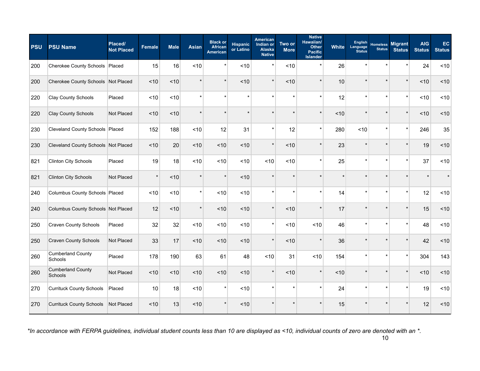| <b>PSU</b> | <b>PSU Name</b>                     | Placed/<br><b>Not Placed</b> | <b>Female</b> | <b>Male</b> | <b>Asian</b> | <b>Black or</b><br><b>African</b><br><b>American</b> | <b>Hispanic</b><br>or Latino | <b>American</b><br>Indian or<br>Alaska<br><b>Native</b> | Two or<br><b>More</b> | <b>Native</b><br>Hawaiian/<br><b>Other</b><br><b>Pacific</b><br><b>Islander</b> | <b>White</b> | <b>English</b><br>Language<br><b>Status</b> | <b>Homeless</b><br><b>Status</b> | <b>Migrant</b><br><b>Status</b> | <b>AIG</b><br><b>Status</b> | EC<br><b>Status</b> |
|------------|-------------------------------------|------------------------------|---------------|-------------|--------------|------------------------------------------------------|------------------------------|---------------------------------------------------------|-----------------------|---------------------------------------------------------------------------------|--------------|---------------------------------------------|----------------------------------|---------------------------------|-----------------------------|---------------------|
| 200        | Cherokee County Schools   Placed    |                              | 15            | 16          | ~10          | $\star$                                              | ~10                          | $\star$                                                 | ~10                   | $\star$                                                                         | 26           | $\star$                                     | ź.                               |                                 | 24                          | ~10                 |
| 200        | Cherokee County Schools Not Placed  |                              | ~10           | < 10        |              | $\star$                                              | ~10                          | $\star$                                                 | ~10                   | $\star$                                                                         | 10           | $\star$                                     | $\star$                          | $\star$                         | ~10                         | ~10                 |
| 220        | <b>Clay County Schools</b>          | Placed                       | ~10           | < 10        | $\star$      | $\star$                                              | $\star$                      | $\star$                                                 | ź.                    | $\star$                                                                         | 12           | $\star$                                     | $\star$                          | $\star$                         | ~10                         | ~10                 |
| 220        | <b>Clay County Schools</b>          | Not Placed                   | < 10          | < 10        |              |                                                      |                              |                                                         |                       | $\star$                                                                         | < 10         |                                             |                                  |                                 | ~10                         | ~10                 |
| 230        | Cleveland County Schools Placed     |                              | 152           | 188         | ~10          | 12                                                   | 31                           | $\star$                                                 | 12                    | $\star$                                                                         | 280          | ~10                                         | $\star$                          | $\star$                         | 246                         | 35                  |
| 230        | Cleveland County Schools Not Placed |                              | ~10           | 20          | ~10          | ~10                                                  | ~10                          | $\star$                                                 | ~10                   | $\star$                                                                         | 23           | $\star$                                     | $\star$                          |                                 | 19                          | ~10                 |
| 821        | <b>Clinton City Schools</b>         | Placed                       | 19            | 18          | ~10          | ~10                                                  | ~10                          | ~10                                                     | ~10                   | $\star$                                                                         | 25           | $\star$                                     | $\star$                          | $\star$                         | 37                          | <10                 |
| 821        | <b>Clinton City Schools</b>         | Not Placed                   | $\star$       | < 10        |              | $\star$                                              | ~10                          |                                                         |                       |                                                                                 |              |                                             |                                  |                                 |                             |                     |
| 240        | Columbus County Schools Placed      |                              | ~10           | ~10         | $\star$      | ~10                                                  | ~10                          | $\star$                                                 |                       | $\star$                                                                         | 14           | $\star$                                     | $\star$                          | $\star$                         | 12                          | ~10                 |
| 240        | Columbus County Schools Not Placed  |                              | 12            | < 10        | $\star$      | ~10                                                  | ~10                          | $\star$                                                 | ~10                   | $\star$                                                                         | 17           | $\star$                                     | $\star$                          | $\star$                         | 15                          | ~10                 |
| 250        | <b>Craven County Schools</b>        | Placed                       | 32            | 32          | < 10         | ~10                                                  | ~10                          | $\star$                                                 | ~10                   | < 10                                                                            | 46           | $\star$                                     | $\star$                          | $\star$                         | 48                          | ~10                 |
| 250        | <b>Craven County Schools</b>        | Not Placed                   | 33            | 17          | < 10         | ~10                                                  | ~10                          | $\star$                                                 | ~10                   |                                                                                 | 36           |                                             |                                  |                                 | 42                          | ~10                 |
| 260        | <b>Cumberland County</b><br>Schools | Placed                       | 178           | 190         | 63           | 61                                                   | 48                           | ~10                                                     | 31                    | < 10                                                                            | 154          | $\star$                                     | $\star$                          |                                 | 304                         | 143                 |
| 260        | <b>Cumberland County</b><br>Schools | Not Placed                   | ~10           | ~10         | ~10          | ~10                                                  | ~10                          | $\star$                                                 | ~10                   | $\star$                                                                         | ~10          | $\star$                                     | $\star$                          |                                 | $<10$                       | ~10                 |
| 270        | <b>Currituck County Schools</b>     | Placed                       | 10            | 18          | $<10$        | $\star$                                              | ~10                          | $\star$                                                 |                       | $\star$                                                                         | 24           | $\star$                                     | $\star$                          | $\star$                         | 19                          | ~10                 |
| 270        | <b>Currituck County Schools</b>     | Not Placed                   | ~10           | 13          | ~10          |                                                      | ~10                          |                                                         |                       |                                                                                 | 15           |                                             |                                  |                                 | 12                          | 10                  |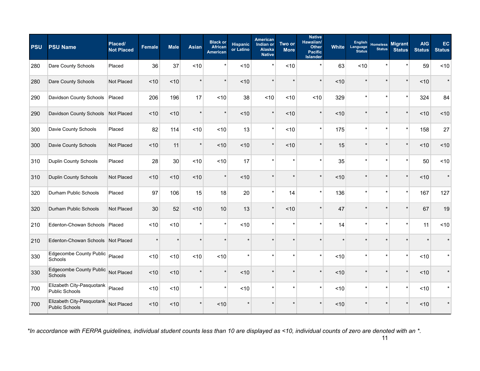| <b>PSU</b> | <b>PSU Name</b>                                    | Placed/<br><b>Not Placed</b> | <b>Female</b> | <b>Male</b> | <b>Asian</b> | <b>Black or</b><br><b>African</b><br><b>American</b> | <b>Hispanic</b><br>or Latino | <b>American</b><br>Indian or<br>Alaska<br><b>Native</b> | Two or<br><b>More</b> | <b>Native</b><br>Hawaiian/<br>Other<br><b>Pacific</b><br><b>Islander</b> | <b>White</b> | English<br>Language<br><b>Status</b> | <b>Homeless</b><br><b>Status</b> | <b>Migrant</b><br><b>Status</b> | <b>AIG</b><br><b>Status</b> | EC.<br><b>Status</b> |
|------------|----------------------------------------------------|------------------------------|---------------|-------------|--------------|------------------------------------------------------|------------------------------|---------------------------------------------------------|-----------------------|--------------------------------------------------------------------------|--------------|--------------------------------------|----------------------------------|---------------------------------|-----------------------------|----------------------|
| 280        | Dare County Schools                                | Placed                       | 36            | 37          | ~10          | $\star$                                              | ~10                          |                                                         | ~10                   | $\star$                                                                  | 63           | ~10                                  |                                  |                                 | 59                          | ~10                  |
| 280        | Dare County Schools                                | Not Placed                   | ~10           | < 10        | $\star$      | $\star$                                              | ~10                          | $\star$                                                 |                       | $\star$                                                                  | < 10         | $\star$                              |                                  | $\star$                         | ~10                         | $\star$              |
| 290        | Davidson County Schools                            | Placed                       | 206           | 196         | 17           | ~10                                                  | 38                           | ~10                                                     | < 10                  | < 10                                                                     | 329          | $\star$                              |                                  | $\star$                         | 324                         | 84                   |
| 290        | Davidson County Schools                            | Not Placed                   | < 10          | ~10         | $\star$      | $\star$                                              | ~10                          | $\star$                                                 | ~10                   | $\star$                                                                  | ~10          | $\star$                              |                                  |                                 | ~10                         | ~10                  |
| 300        | Davie County Schools                               | Placed                       | 82            | 114         | ~10          | ~10                                                  | 13                           |                                                         | ~10                   | $\star$                                                                  | 175          | $\star$                              |                                  |                                 | 158                         | 27                   |
| 300        | Davie County Schools                               | Not Placed                   | ~10           | 11          | $\star$      | ~10                                                  | ~10                          | $\star$                                                 | ~10                   | $\star$                                                                  | 15           | $\star$                              |                                  |                                 | < 10                        | ~10                  |
| 310        | Duplin County Schools                              | Placed                       | 28            | 30          | ~10          | ~10                                                  | 17                           |                                                         | ź.                    | $\star$                                                                  | 35           | $\star$                              |                                  |                                 | 50                          | ~10                  |
| 310        | Duplin County Schools                              | Not Placed                   | ~10           | < 10        | ~10          | $\star$                                              | ~10                          |                                                         |                       | $\star$                                                                  | < 10         | $\star$                              |                                  |                                 | ~10                         | $\star$              |
| 320        | Durham Public Schools                              | Placed                       | 97            | 106         | 15           | 18                                                   | 20                           |                                                         | 14                    | $\star$                                                                  | 136          | $\star$                              |                                  | $\star$                         | 167                         | 127                  |
| 320        | Durham Public Schools                              | Not Placed                   | 30            | 52          | < 10         | 10                                                   | 13                           | $\star$                                                 | ~10                   | $\star$                                                                  | 47           | $\star$                              |                                  |                                 | 67                          | 19                   |
| 210        | Edenton-Chowan Schools Placed                      |                              | < 10          | ~10         | $\star$      | $\star$                                              | ~10                          |                                                         | $\star$               | $\star$                                                                  | 14           | $\star$                              |                                  |                                 | 11                          | ~10                  |
| 210        | Edenton-Chowan Schools Not Placed                  |                              | $\star$       |             |              |                                                      | $\star$                      |                                                         |                       | $\star$                                                                  |              |                                      |                                  |                                 |                             |                      |
| 330        | Edgecombe County Public<br>Schools                 | Placed                       | ~10           | ~10         | ~10          | ~10                                                  | $\star$                      |                                                         |                       | $\star$                                                                  | ~10          | $\star$                              |                                  |                                 | ~10                         |                      |
| 330        | Edgecombe County Public<br><b>Schools</b>          | Not Placed                   | ~10           | ~10         | $\star$      | $\star$                                              | ~10                          |                                                         |                       | $\star$                                                                  | ~10          | $\star$                              |                                  |                                 | ~10                         |                      |
| 700        | Elizabeth City-Pasquotank<br><b>Public Schools</b> | Placed                       | < 10          | ~10         | $\star$      | $\star$                                              | ~10                          |                                                         | $\star$               | $\star$                                                                  | ~10          | $\star$                              |                                  | $\star$                         | ~10                         |                      |
| 700        | Elizabeth City-Pasquotank<br><b>Public Schools</b> | Not Placed                   | < 10          | < 10        |              | < 10                                                 |                              |                                                         |                       |                                                                          | < 10         |                                      |                                  |                                 | < 10                        |                      |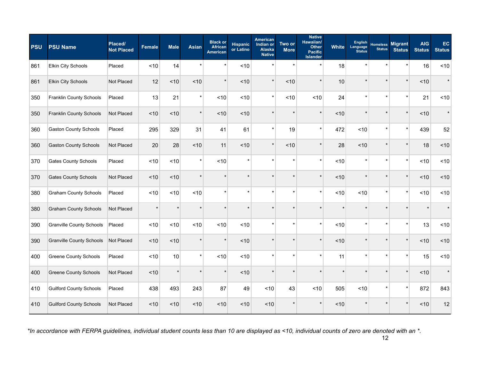| <b>PSU</b> | <b>PSU Name</b>                 | Placed/<br><b>Not Placed</b> | <b>Female</b> | <b>Male</b> | <b>Asian</b> | <b>Black or</b><br><b>African</b><br><b>American</b> | <b>Hispanic</b><br>or Latino | <b>American</b><br>Indian or<br>Alaska<br><b>Native</b> | Two or<br><b>More</b> | <b>Native</b><br>Hawaiian/<br><b>Other</b><br><b>Pacific</b><br><b>Islander</b> | <b>White</b> | <b>English</b><br>Language<br><b>Status</b> | <b>Homeless</b><br><b>Status</b> | <b>Migrant</b><br><b>Status</b> | <b>AIG</b><br><b>Status</b> | EC.<br><b>Status</b> |
|------------|---------------------------------|------------------------------|---------------|-------------|--------------|------------------------------------------------------|------------------------------|---------------------------------------------------------|-----------------------|---------------------------------------------------------------------------------|--------------|---------------------------------------------|----------------------------------|---------------------------------|-----------------------------|----------------------|
| 861        | <b>Elkin City Schools</b>       | Placed                       | ~10           | 14          | $\star$      | $\star$                                              | ~10                          |                                                         | $\star$               | $\star$                                                                         | 18           | $\star$                                     |                                  |                                 | 16                          | ~10                  |
| 861        | <b>Elkin City Schools</b>       | Not Placed                   | 12            | ~10         | ~10          | $\star$                                              | ~10                          | $\star$                                                 | ~10                   | $\star$                                                                         | 10           | $\star$                                     |                                  | $\star$                         | < 10                        | $\star$              |
| 350        | Franklin County Schools         | Placed                       | 13            | 21          | $\star$      | ~10                                                  | ~10                          | $\star$                                                 | ~10                   | ~10                                                                             | 24           | $\star$                                     |                                  | $\star$                         | 21                          | ~10                  |
| 350        | <b>Franklin County Schools</b>  | Not Placed                   | < 10          | ~10         | *            | ~10                                                  | ~10                          |                                                         |                       | $\star$                                                                         | ~10          |                                             |                                  |                                 | ~10                         | $\star$              |
| 360        | <b>Gaston County Schools</b>    | Placed                       | 295           | 329         | 31           | 41                                                   | 61                           |                                                         | 19                    | $\star$                                                                         | 472          | ~10                                         |                                  |                                 | 439                         | 52                   |
| 360        | <b>Gaston County Schools</b>    | Not Placed                   | 20            | 28          | ~10          | 11                                                   | ~10                          | $\star$                                                 | ~10                   | $\star$                                                                         | 28           | ~10                                         |                                  |                                 | 18                          | ~10                  |
| 370        | <b>Gates County Schools</b>     | Placed                       | < 10          | ~10         | $\star$      | < 10                                                 | $\star$                      |                                                         | $\star$               | $\star$                                                                         | ~10          | $\star$                                     |                                  | $\star$                         | ~10                         | ~10                  |
| 370        | <b>Gates County Schools</b>     | Not Placed                   | < 10          | < 10        | $\star$      |                                                      |                              |                                                         |                       | $\star$                                                                         | < 10         | $\star$                                     |                                  |                                 | < 10                        | ~10                  |
| 380        | <b>Graham County Schools</b>    | Placed                       | ~10           | ~10         | ~10          | $\star$                                              | $\star$                      |                                                         | ź.                    | $\star$                                                                         | ~10          | ~10                                         |                                  | $\star$                         | ~10                         | ~10                  |
| 380        | <b>Graham County Schools</b>    | Not Placed                   | $\star$       | $\star$     | $\star$      | $\star$                                              | $\ddot{\phantom{a}}$         |                                                         |                       | $\star$                                                                         | $\star$      | $\star$                                     |                                  |                                 |                             | $\star$              |
| 390        | <b>Granville County Schools</b> | Placed                       | ~10           | ~10         | ~10          | ~10                                                  | ~10                          |                                                         | $\star$               | $\star$                                                                         | < 10         | $\star$                                     | $\star$                          | $\star$                         | 13                          | ~10                  |
| 390        | <b>Granville County Schools</b> | Not Placed                   | ~10           | ~10         |              | $\star$                                              | ~10                          |                                                         |                       | $\star$                                                                         | ~10          |                                             |                                  |                                 | < 10                        | ~10                  |
| 400        | <b>Greene County Schools</b>    | Placed                       | < 10          | 10          | $\star$      | ~10                                                  | ~10                          |                                                         |                       | $\star$                                                                         | 11           | $\star$                                     |                                  |                                 | 15                          | ~10                  |
| 400        | <b>Greene County Schools</b>    | Not Placed                   | ~10           | $\star$     | *            | $\star$                                              | ~10                          |                                                         |                       | $\star$                                                                         | $\star$      | $\star$                                     |                                  |                                 | ~10                         | $\star$              |
| 410        | <b>Guilford County Schools</b>  | Placed                       | 438           | 493         | 243          | 87                                                   | 49                           | ~10                                                     | 43                    | ~10                                                                             | 505          | ~10                                         |                                  | $\star$                         | 872                         | 843                  |
| 410        | <b>Guilford County Schools</b>  | Not Placed                   | ~10           | ~10         | ~10          | ~10                                                  | ~10                          | ~10                                                     |                       |                                                                                 | < 10         |                                             |                                  |                                 | ~10                         | 12                   |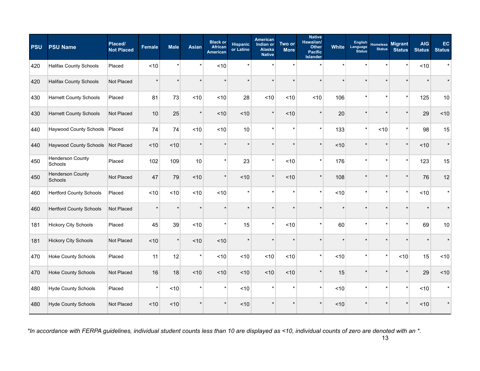| <b>PSU</b> | <b>PSU Name</b>                    | Placed/<br><b>Not Placed</b> | <b>Female</b> | <b>Male</b> | <b>Asian</b> | <b>Black or</b><br><b>African</b><br><b>American</b> | <b>Hispanic</b><br>or Latino | <b>American</b><br>Indian or<br><b>Alaska</b><br><b>Native</b> | Two or<br><b>More</b> | <b>Native</b><br>Hawaiian/<br><b>Other</b><br><b>Pacific</b><br><b>Islander</b> | <b>White</b> | <b>English</b><br>Language<br><b>Status</b> | <b>Homeless</b><br><b>Status</b> | <b>Migrant</b><br><b>Status</b> | <b>AIG</b><br><b>Status</b> | EC<br><b>Status</b> |
|------------|------------------------------------|------------------------------|---------------|-------------|--------------|------------------------------------------------------|------------------------------|----------------------------------------------------------------|-----------------------|---------------------------------------------------------------------------------|--------------|---------------------------------------------|----------------------------------|---------------------------------|-----------------------------|---------------------|
| 420        | <b>Halifax County Schools</b>      | Placed                       | ~10           |             | $\star$      | ~10                                                  |                              |                                                                |                       | $\star$                                                                         |              |                                             | ź.                               |                                 | $<10$                       | $\star$             |
| 420        | <b>Halifax County Schools</b>      | Not Placed                   | $\star$       |             |              |                                                      |                              | $\star$                                                        |                       | $\star$                                                                         |              |                                             | ź.                               |                                 |                             |                     |
| 430        | <b>Harnett County Schools</b>      | Placed                       | 81            | 73          | ~10          | ~10                                                  | 28                           | ~10                                                            | ~10                   | ~10                                                                             | 106          | $\star$                                     | $\star$                          | $\star$                         | 125                         | 10                  |
| 430        | <b>Harnett County Schools</b>      | Not Placed                   | 10            | 25          |              | ~10                                                  | ~10                          | $\star$                                                        | ~10                   | $\star$                                                                         | 20           |                                             | ź.                               |                                 | 29                          | ~10                 |
| 440        | <b>Haywood County Schools</b>      | Placed                       | 74            | 74          | ~10          | ~10                                                  | 10                           | $\star$                                                        |                       | $\star$                                                                         | 133          | $\star$                                     | < 10                             | $\star$                         | 98                          | 15                  |
| 440        | Haywood County Schools Not Placed  |                              | ~10           | ~10         |              | $\star$                                              |                              | $\star$                                                        |                       | $\star$                                                                         | ~10          | $\star$                                     | $\star$                          | $\star$                         | ~10                         | $\star$             |
| 450        | <b>Henderson County</b><br>Schools | Placed                       | 102           | 109         | 10           | $\star$                                              | 23                           | $\star$                                                        | < 10                  | $\star$                                                                         | 176          | $\star$                                     | $\star$                          | $\star$                         | 123                         | 15                  |
| 450        | <b>Henderson County</b><br>Schools | Not Placed                   | 47            | 79          | < 10         | $\star$                                              | < 10                         | $\star$                                                        | < 10                  |                                                                                 | 108          |                                             | $\star$                          |                                 | 76                          | 12                  |
| 460        | <b>Hertford County Schools</b>     | Placed                       | ~10           | ~10         | < 10         | ~10                                                  | $\star$                      | $\star$                                                        |                       | $\star$                                                                         | < 10         | $\star$                                     | $\star$                          | $\star$                         | ~10                         | $\star$             |
| 460        | <b>Hertford County Schools</b>     | Not Placed                   | $\star$       |             |              | $\star$                                              |                              | $\star$                                                        |                       | $\star$                                                                         |              |                                             | $\star$                          |                                 |                             |                     |
| 181        | <b>Hickory City Schools</b>        | Placed                       | 45            | 39          | ~10          | $\star$                                              | 15                           | $\star$                                                        | ~10                   | $\star$                                                                         | 60           | $\star$                                     | $\star$                          | $\star$                         | 69                          | 10                  |
| 181        | <b>Hickory City Schools</b>        | Not Placed                   | ~10           |             | ~10          | ~10                                                  |                              |                                                                |                       |                                                                                 |              |                                             | $\star$                          |                                 |                             |                     |
| 470        | <b>Hoke County Schools</b>         | Placed                       | 11            | 12          | $\star$      | ~10                                                  | ~10                          | ~10                                                            | ~10                   | $\star$                                                                         | ~10          | $\star$                                     | $\star$                          | ~10                             | 15                          | ~10                 |
| 470        | <b>Hoke County Schools</b>         | Not Placed                   | 16            | 18          | ~10          | ~10                                                  | ~10                          | ~10                                                            | ~10                   | $\star$                                                                         | 15           | $\star$                                     | $\star$                          |                                 | 29                          | 10                  |
| 480        | <b>Hyde County Schools</b>         | Placed                       | $\star$       | ~10         |              | $\star$                                              | ~10                          | $\star$                                                        |                       | $\star$                                                                         | ~10          | $\star$                                     | $\star$                          | $\star$                         | $<10$                       | $\star$             |
| 480        | <b>Hyde County Schools</b>         | Not Placed                   | ~10           | ~10         |              | $\star$                                              | ~10                          |                                                                |                       |                                                                                 | < 10         |                                             | $\mathbf{d}$                     |                                 | ~10                         |                     |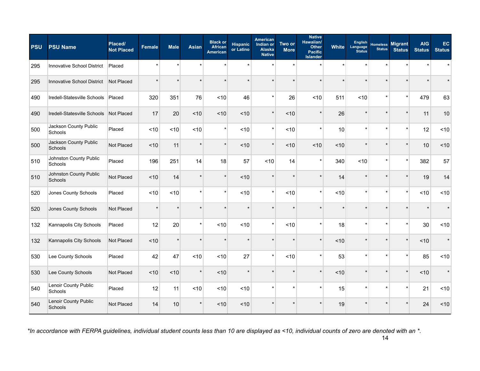| <b>PSU</b> | <b>PSU Name</b>                    | Placed/<br><b>Not Placed</b> | <b>Female</b> | <b>Male</b> | <b>Asian</b> | <b>Black or</b><br><b>African</b><br><b>American</b> | <b>Hispanic</b><br>or Latino | <b>American</b><br>Indian or<br><b>Alaska</b><br><b>Native</b> | Two or<br><b>More</b> | <b>Native</b><br>Hawaiian/<br><b>Other</b><br><b>Pacific</b><br><b>Islander</b> | <b>White</b> | <b>English</b><br>Language<br><b>Status</b> | <b>Homeless</b><br><b>Status</b> | <b>Migrant</b><br><b>Status</b> | <b>AIG</b><br><b>Status</b> | EC<br><b>Status</b> |
|------------|------------------------------------|------------------------------|---------------|-------------|--------------|------------------------------------------------------|------------------------------|----------------------------------------------------------------|-----------------------|---------------------------------------------------------------------------------|--------------|---------------------------------------------|----------------------------------|---------------------------------|-----------------------------|---------------------|
| 295        | Innovative School District         | Placed                       | $\star$       |             |              |                                                      |                              |                                                                |                       | $\star$                                                                         |              |                                             |                                  |                                 |                             |                     |
| 295        | Innovative School District         | Not Placed                   | $\star$       |             |              |                                                      |                              | $\star$                                                        |                       | $\star$                                                                         |              |                                             | $\star$                          |                                 |                             |                     |
| 490        | Iredell-Statesville Schools Placed |                              | 320           | 351         | 76           | ~10                                                  | 46                           | $\star$                                                        | 26                    | ~10                                                                             | 511          | < 10                                        | $\star$                          | $\star$                         | 479                         | 63                  |
| 490        | Iredell-Statesville Schools        | Not Placed                   | 17            | 20          | < 10         | ~10                                                  | ~10                          | $\star$                                                        | ~10                   | $\star$                                                                         | 26           |                                             | $\star$                          |                                 | 11                          | 10                  |
| 500        | Jackson County Public<br>Schools   | Placed                       | ~10           | ~10         | ~10          | $\star$                                              | ~10                          | $\star$                                                        | < 10                  | $\star$                                                                         | 10           | $\star$                                     | $\star$                          | $\star$                         | 12                          | ~10                 |
| 500        | Jackson County Public<br>Schools   | Not Placed                   | ~10           | 11          |              | $\star$                                              | ~10                          | $\star$                                                        | ~10                   | < 10                                                                            | ~10          | $\star$                                     | $\star$                          |                                 | 10                          | ~10                 |
| 510        | Johnston County Public<br>Schools  | Placed                       | 196           | 251         | 14           | 18                                                   | 57                           | ~10                                                            | 14                    | $\star$                                                                         | 340          | < 10                                        | $\star$                          | $\star$                         | 382                         | 57                  |
| 510        | Johnston County Public<br>Schools  | Not Placed                   | < 10          | 14          |              | $\star$                                              | < 10                         |                                                                |                       |                                                                                 | 14           |                                             | $\star$                          |                                 | 19                          | 14                  |
| 520        | Jones County Schools               | Placed                       | ~10           | ~10         |              | $\star$                                              | ~10                          | $\star$                                                        | < 10                  | $\star$                                                                         | < 10         | $\star$                                     | $\star$                          | $\star$                         | ~10                         | ~10                 |
| 520        | Jones County Schools               | Not Placed                   | $\star$       |             |              | $\star$                                              | ź.                           | $\star$                                                        |                       | $\star$                                                                         |              |                                             | $\star$                          |                                 |                             |                     |
| 132        | Kannapolis City Schools            | Placed                       | 12            | 20          | $\star$      | < 10                                                 | ~10                          | $\star$                                                        | ~10                   | $\star$                                                                         | 18           | $\star$                                     | $\star$                          | $\star$                         | 30                          | ~10                 |
| 132        | Kannapolis City Schools            | Not Placed                   | ~10           |             |              | $\star$                                              |                              |                                                                |                       | $\star$                                                                         | ~10          |                                             | $\star$                          |                                 | ~10                         | $\star$             |
| 530        | Lee County Schools                 | Placed                       | 42            | 47          | ~10          | ~10                                                  | 27                           | $\star$                                                        | ~10                   | $\star$                                                                         | 53           | $\star$                                     | $\star$                          | $\star$                         | 85                          | ~10                 |
| 530        | Lee County Schools                 | Not Placed                   | ~10           | ~10         | $\star$      | ~10                                                  | $\star$                      | $\ddot{\phantom{0}}$                                           |                       | $\star$                                                                         | ~10          | $\star$                                     | $\star$                          | $\star$                         | $<10$                       | $\star$             |
| 540        | Lenoir County Public<br>Schools    | Placed                       | 12            | 11          | < 10         | ~10                                                  | ~10                          | $\star$                                                        | ź.                    | $\star$                                                                         | 15           | $\star$                                     | $\star$                          | $\star$                         | 21                          | ~10                 |
| 540        | Lenoir County Public<br>Schools    | Not Placed                   | 14            | 10          |              | ~10                                                  | ~10                          |                                                                |                       |                                                                                 | 19           |                                             |                                  |                                 | 24                          | 10                  |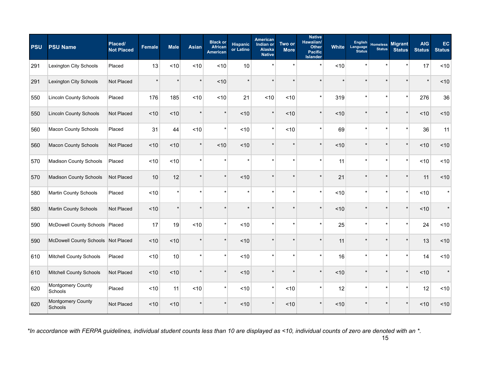| <b>PSU</b> | <b>PSU Name</b>                     | Placed/<br><b>Not Placed</b> | <b>Female</b> | <b>Male</b> | <b>Asian</b> | <b>Black or</b><br><b>African</b><br><b>American</b> | <b>Hispanic</b><br>or Latino | American<br>Indian or<br>Alaska<br><b>Native</b> | Two or<br><b>More</b> | <b>Native</b><br>Hawaiian/<br><b>Other</b><br><b>Pacific</b><br><b>Islander</b> | White | <b>English</b><br>Language<br><b>Status</b> | <b>Homeless</b><br><b>Status</b> | <b>Migrant</b><br><b>Status</b> | <b>AIG</b><br><b>Status</b> | EC.<br><b>Status</b> |
|------------|-------------------------------------|------------------------------|---------------|-------------|--------------|------------------------------------------------------|------------------------------|--------------------------------------------------|-----------------------|---------------------------------------------------------------------------------|-------|---------------------------------------------|----------------------------------|---------------------------------|-----------------------------|----------------------|
| 291        | Lexington City Schools              | Placed                       | 13            | ~10         | ~10          | ~10                                                  | 10                           |                                                  | ź.                    | $\star$                                                                         | ~10   | $\star$                                     |                                  |                                 | 17                          | ~10                  |
| 291        | Lexington City Schools              | Not Placed                   | $\star$       | $\star$     | $\star$      | ~10                                                  | $\star$                      |                                                  |                       | $\star$                                                                         |       | $\star$                                     |                                  |                                 | $\star$                     | ~10                  |
| 550        | <b>Lincoln County Schools</b>       | Placed                       | 176           | 185         | ~10          | ~10                                                  | 21                           | ~10                                              | ~10                   | $\star$                                                                         | 319   | $\star$                                     |                                  | $\star$                         | 276                         | 36                   |
| 550        | <b>Lincoln County Schools</b>       | Not Placed                   | < 10          | ~10         | $\star$      | $\star$                                              | ~10                          |                                                  | ~10                   | $\star$                                                                         | ~10   |                                             |                                  |                                 | < 10                        | $<10$                |
| 560        | <b>Macon County Schools</b>         | Placed                       | 31            | 44          | ~10          | $\star$                                              | ~10                          |                                                  | ~10                   | $\star$                                                                         | 69    | $\star$                                     |                                  |                                 | 36                          | 11                   |
| 560        | <b>Macon County Schools</b>         | Not Placed                   | < 10          | ~10         | $\star$      | < 10                                                 | ~10                          |                                                  |                       | $\star$                                                                         | ~10   | $\star$                                     |                                  |                                 | < 10                        | ~10                  |
| 570        | <b>Madison County Schools</b>       | Placed                       | < 10          | < 10        | $\star$      | $\star$                                              | $\star$                      |                                                  | ź.                    | $\star$                                                                         | 11    | $\star$                                     | $\star$                          | $\star$                         | < 10                        | ~10                  |
| 570        | <b>Madison County Schools</b>       | Not Placed                   | 10            | 12          |              | $\star$                                              | < 10                         |                                                  |                       | $\star$                                                                         | 21    | $\star$                                     |                                  |                                 | 11                          | ~10                  |
| 580        | Martin County Schools               | Placed                       | < 10          | $\star$     | $\star$      |                                                      | ź.                           |                                                  |                       | $\star$                                                                         | < 10  | $\star$                                     |                                  | $\star$                         | ~10                         | $\star$              |
| 580        | Martin County Schools               | Not Placed                   | ~10           | $\star$     | $\star$      |                                                      |                              |                                                  |                       | $\star$                                                                         | ~10   | $\star$                                     |                                  | $\star$                         | ~10                         | $\star$              |
| 590        | McDowell County Schools   Placed    |                              | 17            | 19          | < 10         | $\star$                                              | ~10                          |                                                  | $\star$               | $\star$                                                                         | 25    | $\star$                                     |                                  | $\star$                         | 24                          | ~10                  |
| 590        | McDowell County Schools Not Placed  |                              | ~10           | ~10         | $\star$      | $\star$                                              | ~10                          |                                                  |                       | $\star$                                                                         | 11    | $\star$                                     |                                  |                                 | 13                          | ~10                  |
| 610        | Mitchell County Schools             | Placed                       | ~10           | 10          | $\star$      | $\star$                                              | ~10                          |                                                  |                       | $\star$                                                                         | 16    | $\star$                                     |                                  |                                 | 14                          | ~10                  |
| 610        | Mitchell County Schools             | Not Placed                   | ~10           | ~10         | $\star$      | $\star$                                              | ~10                          |                                                  |                       | $\star$                                                                         | ~10   | $\star$                                     |                                  |                                 | ~10                         | $\star$              |
| 620        | Montgomery County<br>Schools        | Placed                       | ~10           | 11          | < 10         | $\star$                                              | ~10                          | $\star$                                          | ~10                   | $\star$                                                                         | 12    | $\star$                                     |                                  | $\star$                         | 12                          | ~10                  |
| 620        | <b>Montgomery County</b><br>Schools | Not Placed                   | ~10           | < 10        |              |                                                      | ~10                          |                                                  | < 10                  |                                                                                 | < 10  |                                             |                                  |                                 | ~10                         | ~10                  |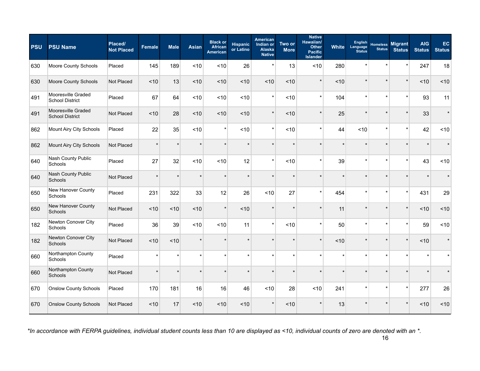| <b>PSU</b> | <b>PSU Name</b>                              | Placed/<br><b>Not Placed</b> | <b>Female</b> | <b>Male</b> | <b>Asian</b> | <b>Black or</b><br><b>African</b><br><b>American</b> | <b>Hispanic</b><br>or Latino | <b>American</b><br>Indian or<br><b>Alaska</b><br><b>Native</b> | Two or<br><b>More</b> | <b>Native</b><br>Hawaiian/<br><b>Other</b><br><b>Pacific</b><br><b>Islander</b> | White   | <b>English</b><br>Language<br><b>Status</b> | <b>Homeless</b><br><b>Status</b> | <b>Migrant</b><br><b>Status</b> | <b>AIG</b><br><b>Status</b> | EC.<br><b>Status</b> |
|------------|----------------------------------------------|------------------------------|---------------|-------------|--------------|------------------------------------------------------|------------------------------|----------------------------------------------------------------|-----------------------|---------------------------------------------------------------------------------|---------|---------------------------------------------|----------------------------------|---------------------------------|-----------------------------|----------------------|
| 630        | Moore County Schools                         | Placed                       | 145           | 189         | < 10         | ~10                                                  | 26                           | $\star$                                                        | 13                    | ~10                                                                             | 280     | $\star$                                     |                                  | $\star$                         | 247                         | 18                   |
| 630        | Moore County Schools                         | Not Placed                   | ~10           | 13          | < 10         | ~10                                                  | < 10                         | ~10                                                            | < 10                  | $\star$                                                                         | < 10    | $\star$                                     |                                  | $\star$                         | ~10                         | ~10                  |
| 491        | Mooresville Graded<br><b>School District</b> | Placed                       | 67            | 64          | < 10         | ~10                                                  | ~10                          | $\star$                                                        | < 10                  | $\star$                                                                         | 104     | $\star$                                     | $\star$                          | $\star$                         | 93                          | 11                   |
| 491        | Mooresville Graded<br><b>School District</b> | Not Placed                   | ~10           | 28          | < 10         | ~10                                                  | ~10                          | $\star$                                                        | ~10                   | $\star$                                                                         | 25      |                                             |                                  |                                 | 33                          | $\star$              |
| 862        | Mount Airy City Schools                      | Placed                       | 22            | 35          | ~10          | $\star$                                              | ~10                          | $\star$                                                        | ~10                   | $\star$                                                                         | 44      | ~10                                         | $\star$                          | $\star$                         | 42                          | 10                   |
| 862        | Mount Airy City Schools                      | Not Placed                   | $\star$       |             |              | $\star$                                              |                              | $\star$                                                        |                       | $\star$                                                                         | ÷       | $\star$                                     | $\star$                          |                                 |                             |                      |
| 640        | Nash County Public<br>Schools                | Placed                       | 27            | 32          | ~10          | ~10                                                  | 12                           | $\star$                                                        | ~10                   | $\star$                                                                         | 39      | $\star$                                     | $\star$                          | $\star$                         | 43                          | <10                  |
| 640        | Nash County Public<br>Schools                | Not Placed                   | $\star$       |             |              | $\star$                                              |                              |                                                                |                       |                                                                                 |         |                                             |                                  |                                 |                             |                      |
| 650        | New Hanover County<br>Schools                | Placed                       | 231           | 322         | 33           | 12                                                   | 26                           | ~10                                                            | 27                    | $\star$                                                                         | 454     | $\star$                                     | $\star$                          | $\star$                         | 431                         | 29                   |
| 650        | New Hanover County<br>Schools                | Not Placed                   | ~10           | < 10        | < 10         | $\star$                                              | ~10                          | $\star$                                                        |                       | $\star$                                                                         | 11      | $\star$                                     |                                  | $\star$                         | ~10                         | ~10                  |
| 182        | Newton Conover City<br>Schools               | Placed                       | 36            | 39          | ~10          | ~10                                                  | 11                           | $\star$                                                        | < 10                  | $\star$                                                                         | 50      | $\star$                                     | $\star$                          | $\star$                         | 59                          | ~10                  |
| 182        | Newton Conover City<br>Schools               | Not Placed                   | ~10           | ~10         |              |                                                      |                              |                                                                |                       |                                                                                 | ~10     |                                             |                                  | $\star$                         | ~10                         |                      |
| 660        | Northampton County<br>Schools                | Placed                       | $\star$       |             |              |                                                      |                              | $\star$                                                        |                       | $\star$                                                                         |         | ÷                                           |                                  |                                 |                             |                      |
| 660        | Northampton County<br>Schools                | Not Placed                   | $\star$       |             |              |                                                      |                              |                                                                |                       | $\star$                                                                         | $\star$ | $\star$                                     |                                  |                                 |                             |                      |
| 670        | <b>Onslow County Schools</b>                 | Placed                       | 170           | 181         | 16           | 16                                                   | 46                           | ~10                                                            | 28                    | < 10                                                                            | 241     | $\star$                                     | $\star$                          | $\star$                         | 277                         | 26                   |
| 670        | <b>Onslow County Schools</b>                 | Not Placed                   | ~10           | 17          | ~10          | ~10                                                  | ~10                          |                                                                | ~10                   |                                                                                 | 13      |                                             |                                  |                                 | ~10                         | ~10                  |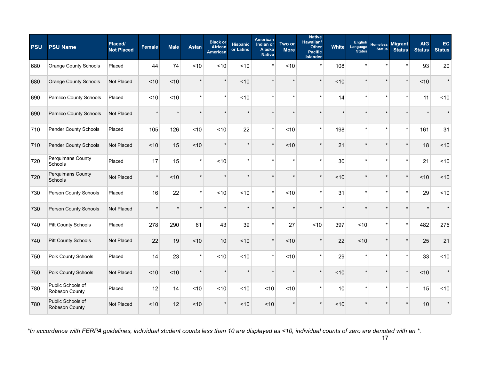| <b>PSU</b> | <b>PSU Name</b>                     | Placed/<br><b>Not Placed</b> | <b>Female</b> | <b>Male</b> | <b>Asian</b> | <b>Black or</b><br><b>African</b><br><b>American</b> | <b>Hispanic</b><br>or Latino | American<br>Indian or<br>Alaska<br><b>Native</b> | Two or<br><b>More</b> | <b>Native</b><br>Hawaiian/<br><b>Other</b><br><b>Pacific</b><br><b>Islander</b> | <b>White</b> | <b>English</b><br>Language<br><b>Status</b> | <b>Homeless</b><br><b>Status</b> | <b>Migrant</b><br><b>Status</b> | <b>AIG</b><br><b>Status</b> | EC<br><b>Status</b> |
|------------|-------------------------------------|------------------------------|---------------|-------------|--------------|------------------------------------------------------|------------------------------|--------------------------------------------------|-----------------------|---------------------------------------------------------------------------------|--------------|---------------------------------------------|----------------------------------|---------------------------------|-----------------------------|---------------------|
| 680        | Orange County Schools               | Placed                       | 44            | 74          | ~10          | ~10                                                  | ~10                          | $\star$                                          | ~10                   | $\star$                                                                         | 108          | $\star$                                     | ź.                               |                                 | 93                          | 20                  |
| 680        | <b>Orange County Schools</b>        | Not Placed                   | ~10           | ~10         |              | $\star$                                              | ~10                          | $\star$                                          |                       | $\star$                                                                         | ~10          | $\star$                                     | $\star$                          | $\star$                         | ~10                         | $\star$             |
| 690        | Pamlico County Schools              | Placed                       | ~10           | ~10         | $\star$      | $\star$                                              | ~10                          | $\star$                                          | ź.                    | $\star$                                                                         | 14           | $\star$                                     | $\star$                          | $\star$                         | 11                          | ~10                 |
| 690        | Pamlico County Schools              | Not Placed                   | $\star$       |             |              |                                                      |                              |                                                  |                       |                                                                                 |              |                                             | $\star$                          |                                 |                             |                     |
| 710        | <b>Pender County Schools</b>        | Placed                       | 105           | 126         | ~10          | ~10                                                  | 22                           | $\star$                                          | < 10                  | $\star$                                                                         | 198          |                                             | $\star$                          | $\star$                         | 161                         | 31                  |
| 710        | Pender County Schools               | Not Placed                   | ~10           | 15          | ~10          | $\star$                                              |                              | $\star$                                          | ~10                   | $\star$                                                                         | 21           | $\star$                                     | $\star$                          |                                 | 18                          | ~10                 |
| 720        | Perquimans County<br>Schools        | Placed                       | 17            | 15          | $\star$      | ~10                                                  | $\star$                      | $\star$                                          |                       | $\star$                                                                         | 30           | $\star$                                     | $\star$                          | $\star$                         | 21                          | ~10                 |
| 720        | Perquimans County<br>Schools        | Not Placed                   | $\star$       | < 10        |              |                                                      |                              |                                                  |                       | $\star$                                                                         | ~10          |                                             | $\star$                          |                                 | $<10$                       | ~10                 |
| 730        | Person County Schools               | Placed                       | 16            | 22          | $\star$      | ~10                                                  | ~10                          | $\star$                                          | ~10                   | $\star$                                                                         | 31           |                                             | $\star$                          | $\star$                         | 29                          | ~10                 |
| 730        | Person County Schools               | Not Placed                   | $\star$       |             |              |                                                      |                              |                                                  |                       | $\star$                                                                         |              |                                             | $\star$                          |                                 |                             |                     |
| 740        | <b>Pitt County Schools</b>          | Placed                       | 278           | 290         | 61           | 43                                                   | 39                           | $\star$                                          | 27                    | < 10                                                                            | 397          | < 10                                        | $\star$                          | $\star$                         | 482                         | 275                 |
| 740        | <b>Pitt County Schools</b>          | Not Placed                   | 22            | 19          | < 10         | 10                                                   | ~10                          | $\star$                                          | < 10                  | $\star$                                                                         | 22           | < 10                                        |                                  |                                 | 25                          | 21                  |
| 750        | Polk County Schools                 | Placed                       | 14            | 23          | $\star$      | ~10                                                  | ~10                          | $\star$                                          | ~10                   | $\star$                                                                         | 29           | $\star$                                     | $\star$                          | $\star$                         | 33                          | ~10                 |
| 750        | Polk County Schools                 | Not Placed                   | ~10           | ~10         | $\star$      | $\star$                                              | $\star$                      | $\star$                                          |                       | $\star$                                                                         | ~10          | $\star$                                     | $\star$                          | $\star$                         | ~10                         | $\star$             |
| 780        | Public Schools of<br>Robeson County | Placed                       | 12            | 14          | < 10         | ~10                                                  | ~10                          | ~10                                              | ~10                   | $\star$                                                                         | 10           | $\star$                                     | $\star$                          | $\star$                         | 15                          | ~10                 |
| 780        | Public Schools of<br>Robeson County | Not Placed                   | ~10           | 12          | < 10         | $\star$                                              | ~10                          | ~10                                              |                       |                                                                                 | ~10          |                                             |                                  |                                 | 10                          | $\star$             |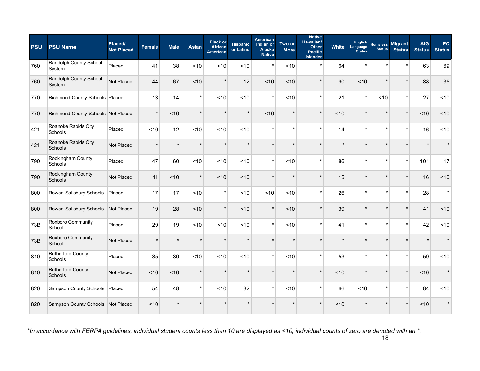| <b>PSU</b> | <b>PSU Name</b>                            | Placed/<br><b>Not Placed</b> | <b>Female</b> | <b>Male</b> | <b>Asian</b> | <b>Black or</b><br><b>African</b><br><b>American</b> | <b>Hispanic</b><br>or Latino | <b>American</b><br>Indian or<br>Alaska<br><b>Native</b> | Two or<br><b>More</b> | <b>Native</b><br>Hawaiian/<br>Other<br><b>Pacific</b><br><b>Islander</b> | <b>White</b> | <b>English</b><br>Language<br><b>Status</b> | <b>Homeless</b><br><b>Status</b> | <b>Migrant</b><br><b>Status</b> | <b>AIG</b><br><b>Status</b> | EC.<br><b>Status</b> |
|------------|--------------------------------------------|------------------------------|---------------|-------------|--------------|------------------------------------------------------|------------------------------|---------------------------------------------------------|-----------------------|--------------------------------------------------------------------------|--------------|---------------------------------------------|----------------------------------|---------------------------------|-----------------------------|----------------------|
| 760        | Randolph County School<br>System           | Placed                       | 41            | 38          | ~10          | ~10                                                  | ~10                          | $\star$                                                 | ~10                   | $\star$                                                                  | 64           | $\star$                                     | $\star$                          | $\star$                         | 63                          | 69                   |
| 760        | Randolph County School<br>System           | Not Placed                   | 44            | 67          | ~10          | $\star$                                              | 12                           | ~10                                                     | ~10                   | $\star$                                                                  | 90           | ~10                                         | $\star$                          | $\star$                         | 88                          | 35                   |
| 770        | Richmond County Schools Placed             |                              | 13            | 14          | $\star$      | ~10                                                  | ~10                          | $\star$                                                 | <10                   | $\star$                                                                  | 21           | $\star$                                     | <10                              | $\star$                         | 27                          | ~10                  |
| 770        | Richmond County Schools Not Placed         |                              | $\star$       | < 10        | $\star$      | $\star$                                              | $\star$                      | < 10                                                    |                       | $\star$                                                                  | ~10          |                                             |                                  | $\star$                         | ~10                         | ~10                  |
| 421        | Roanoke Rapids City<br>Schools             | Placed                       | ~10           | 12          | < 10         | ~10                                                  | ~10                          |                                                         | $\star$               | $\star$                                                                  | 14           | $\star$                                     | $\star$                          | $\star$                         | 16                          | ~10                  |
| 421        | Roanoke Rapids City<br>Schools             | Not Placed                   | $\star$       | $\star$     | $\star$      | $\star$                                              | $\star$                      | $\star$                                                 |                       | $\star$                                                                  | $\star$      | $\star$                                     | $\star$                          |                                 |                             |                      |
| 790        | Rockingham County<br>Schools               | Placed                       | 47            | 60          | < 10         | < 10                                                 | ~10                          | $\star$                                                 | < 10                  | $\star$                                                                  | 86           | $\star$                                     | $\star$                          | $\star$                         | 101                         | 17                   |
| 790        | Rockingham County<br>Schools               | Not Placed                   | 11            | ~10         | $^\star$     | ~10                                                  | < 10                         |                                                         |                       | $\star$                                                                  | 15           |                                             |                                  |                                 | 16                          | ~10                  |
| 800        | Rowan-Salisbury Schools                    | Placed                       | 17            | 17          | ~10          | $\star$                                              | < 10                         | ~10                                                     | ~10                   | $\star$                                                                  | 26           | $\star$                                     | $\star$                          | $\star$                         | 28                          | $\star$              |
| 800        | Rowan-Salisbury Schools                    | Not Placed                   | 19            | 28          | ~10          | $\star$                                              | ~10                          | $\star$                                                 | ~10                   | $\star$                                                                  | 39           | $\star$                                     |                                  | $\star$                         | 41                          | ~10                  |
| 73B        | Roxboro Community<br>School                | Placed                       | 29            | 19          | ~10          | ~10                                                  | ~10                          | $\star$                                                 | ~10                   | $\star$                                                                  | 41           | $\star$                                     | $\star$                          | $\star$                         | 42                          | <10                  |
| 73B        | Roxboro Community<br>School                | Not Placed                   | $\star$       | $\star$     | $\star$      | $\star$                                              | $\star$                      |                                                         |                       | $\star$                                                                  |              |                                             |                                  |                                 |                             |                      |
| 810        | <b>Rutherford County</b><br>Schools        | Placed                       | 35            | 30          | ~10          | ~10                                                  | ~10                          | $\star$                                                 | ~10                   | $\star$                                                                  | 53           | $\star$                                     | $\star$                          | $\star$                         | 59                          | ~10                  |
| 810        | <b>Rutherford County</b><br><b>Schools</b> | Not Placed                   | ~10           | ~10         | $\star$      | $\star$                                              | $\star$                      |                                                         | $\star$               | $\star$                                                                  | ~10          | $\star$                                     | $\star$                          | $\star$                         | $<10$                       | $\star$              |
| 820        | <b>Sampson County Schools</b>              | Placed                       | 54            | 48          | $\star$      | ~10                                                  | 32                           | $\star$                                                 | ~10                   | $\star$                                                                  | 66           | < 10                                        | $\star$                          | $\star$                         | 84                          | ~10                  |
| 820        | Sampson County Schools Not Placed          |                              | ~10           |             |              | $\star$                                              |                              |                                                         |                       |                                                                          | ~10          |                                             |                                  |                                 | < 10                        |                      |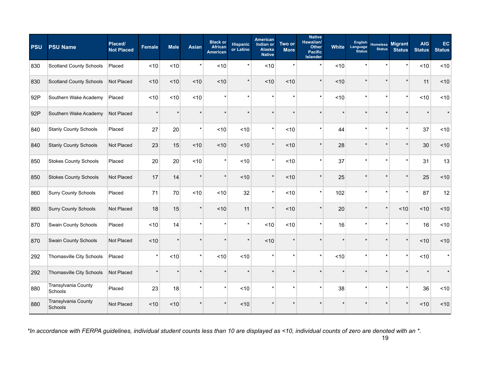| <b>PSU</b> | <b>PSU Name</b>                | Placed/<br><b>Not Placed</b> | <b>Female</b> | <b>Male</b> | <b>Asian</b> | <b>Black or</b><br><b>African</b><br><b>American</b> | <b>Hispanic</b><br>or Latino | American<br>Indian or<br>Alaska<br><b>Native</b> | Two or<br><b>More</b> | <b>Native</b><br>Hawaiian/<br>Other<br><b>Pacific</b><br><b>Islander</b> | <b>White</b> | <b>English</b><br>Language<br><b>Status</b> | <b>Homeless</b><br><b>Status</b> | <b>Migrant</b><br><b>Status</b> | <b>AIG</b><br><b>Status</b> | EC<br><b>Status</b> |
|------------|--------------------------------|------------------------------|---------------|-------------|--------------|------------------------------------------------------|------------------------------|--------------------------------------------------|-----------------------|--------------------------------------------------------------------------|--------------|---------------------------------------------|----------------------------------|---------------------------------|-----------------------------|---------------------|
| 830        | <b>Scotland County Schools</b> | Placed                       | ~10           | ~10         | $\star$      | ~10                                                  | $\star$                      | ~10                                              | $\star$               | $\star$                                                                  | < 10         | $\star$                                     | $\star$                          |                                 | ~10                         | ~10                 |
| 830        | <b>Scotland County Schools</b> | Not Placed                   | < 10          | < 10        | < 10         | ~10                                                  | $\star$                      | ~10                                              | < 10                  | $\star$                                                                  | < 10         | $\star$                                     | $\star$                          | $\star$                         | 11                          | ~10                 |
| 92P        | Southern Wake Academy          | Placed                       | ~10           | ~10         | ~10          | $\star$                                              | $\star$                      | $\star$                                          | $\star$               | $\star$                                                                  | ~10          | $\star$                                     | $\star$                          | $\star$                         | ~10                         | ~10                 |
| 92P        | Southern Wake Academy          | Not Placed                   | $\star$       |             |              |                                                      |                              |                                                  |                       |                                                                          |              |                                             |                                  |                                 |                             |                     |
| 840        | <b>Stanly County Schools</b>   | Placed                       | 27            | 20          | $\star$      | ~10                                                  | ~10                          | $\star$                                          | < 10                  | $\star$                                                                  | 44           | $\star$                                     | $\star$                          | $\star$                         | 37                          | ~10                 |
| 840        | <b>Stanly County Schools</b>   | Not Placed                   | 23            | 15          | < 10         | ~10                                                  | ~10                          | $\star$                                          | < 10                  | $\star$                                                                  | 28           | $\star$                                     | $\star$                          |                                 | 30                          | ~10                 |
| 850        | <b>Stokes County Schools</b>   | Placed                       | 20            | 20          | ~10          | $\star$                                              | ~10                          | $\star$                                          | ~10                   | $\star$                                                                  | 37           | $\star$                                     | $\star$                          | $\star$                         | 31                          | 13                  |
| 850        | <b>Stokes County Schools</b>   | Not Placed                   | 17            | 14          |              | $\star$                                              | ~10                          | $\star$                                          | ~10                   |                                                                          | 25           |                                             | $\mathbf{d}$                     |                                 | 25                          | ~10                 |
| 860        | <b>Surry County Schools</b>    | Placed                       | 71            | 70          | ~10          | ~10                                                  | 32                           | $\star$                                          | < 10                  | $\star$                                                                  | 102          | $\star$                                     | $\star$                          | $\star$                         | 87                          | 12                  |
| 860        | <b>Surry County Schools</b>    | Not Placed                   | 18            | 15          | $\star$      | ~10                                                  | 11                           | $\star$                                          | < 10                  | $\star$                                                                  | 20           | $\star$                                     | $\star$                          | ~10                             | ~10                         | ~10                 |
| 870        | Swain County Schools           | Placed                       | ~10           | 14          | $\star$      | $\star$                                              | $\star$                      | ~10                                              | ~10                   | $\star$                                                                  | 16           | $\star$                                     | $\star$                          | $\star$                         | 16                          | ~10                 |
| 870        | Swain County Schools           | Not Placed                   | ~10           |             |              |                                                      |                              | ~10                                              |                       |                                                                          |              |                                             |                                  |                                 | $<10$                       | ~10                 |
| 292        | Thomasville City Schools       | Placed                       | $\star$       | ~10         |              | ~10                                                  | ~10                          | $\star$                                          |                       | $\star$                                                                  | < 10         | $\star$                                     | $\star$                          |                                 | ~10                         | $\star$             |
| 292        | Thomasville City Schools       | Not Placed                   | $\star$       |             |              | $\star$                                              |                              |                                                  |                       |                                                                          |              |                                             |                                  |                                 |                             |                     |
| 880        | Transylvania County<br>Schools | Placed                       | 23            | 18          |              | $\star$                                              | ~10                          | $\star$                                          |                       | $\star$                                                                  | 38           | $\star$                                     | $\star$                          | $\star$                         | 36                          | ~10                 |
| 880        | Transylvania County<br>Schools | Not Placed                   | ~10           | ~10         |              |                                                      | ~10                          |                                                  |                       |                                                                          |              |                                             |                                  |                                 | ~10                         | 10                  |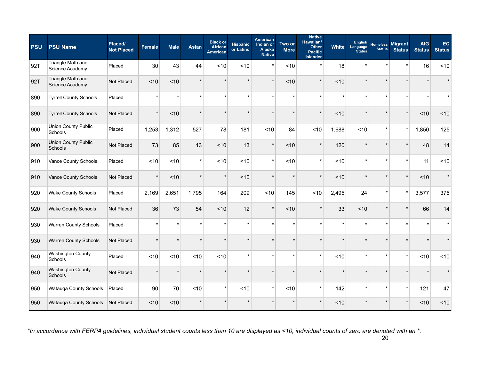| <b>PSU</b> | <b>PSU Name</b>                       | Placed/<br><b>Not Placed</b> | Female  | <b>Male</b> | <b>Asian</b> | <b>Black or</b><br><b>African</b><br><b>American</b> | <b>Hispanic</b><br>or Latino | American<br>Indian or<br><b>Alaska</b><br><b>Native</b> | Two or<br><b>More</b> | <b>Native</b><br>Hawaiian/<br>Other<br><b>Pacific</b><br><b>Islander</b> | White   | <b>English</b><br>Language<br><b>Status</b> | <b>Homeless</b><br><b>Status</b> | <b>Migrant</b><br><b>Status</b> | <b>AIG</b><br><b>Status</b> | EC<br><b>Status</b> |
|------------|---------------------------------------|------------------------------|---------|-------------|--------------|------------------------------------------------------|------------------------------|---------------------------------------------------------|-----------------------|--------------------------------------------------------------------------|---------|---------------------------------------------|----------------------------------|---------------------------------|-----------------------------|---------------------|
| 92T        | Triangle Math and<br>Science Academy  | Placed                       | 30      | 43          | 44           | ~10                                                  | ~10                          |                                                         | < 10                  | $\star$                                                                  | 18      | $\star$                                     |                                  |                                 | 16                          | ~10                 |
| 92T        | Triangle Math and<br>Science Academy  | Not Placed                   | ~10     | ~10         | $\star$      |                                                      |                              | $\star$                                                 | ~10                   | $\star$                                                                  | < 10    | $\star$                                     |                                  |                                 |                             |                     |
| 890        | <b>Tyrrell County Schools</b>         | Placed                       | $\star$ | $\star$     | $\star$      | $\star$                                              | $\star$                      |                                                         | $\star$               | $\star$                                                                  | $\star$ | $\star$                                     |                                  |                                 | $\star$                     |                     |
| 890        | <b>Tyrrell County Schools</b>         | Not Placed                   | $\star$ | ~10         | $\star$      | $\star$                                              |                              |                                                         |                       | $\star$                                                                  | < 10    | $\star$                                     |                                  |                                 | ~10                         | ~10                 |
| 900        | <b>Union County Public</b><br>Schools | Placed                       | 1,253   | 1,312       | 527          | 78                                                   | 181                          | ~10                                                     | 84                    | < 10                                                                     | 1,688   | < 10                                        | $\star$                          | $\star$                         | 1,850                       | 125                 |
| 900        | <b>Union County Public</b><br>Schools | Not Placed                   | 73      | 85          | 13           | ~10                                                  | 13                           |                                                         | ~10                   | $\star$                                                                  | 120     | $\star$                                     |                                  |                                 | 48                          | 14                  |
| 910        | Vance County Schools                  | Placed                       | ~10     | ~10         | $\star$      | ~10                                                  | ~10                          |                                                         | ~10                   | $\star$                                                                  | < 10    | $\star$                                     |                                  |                                 | 11                          | ~10                 |
| 910        | Vance County Schools                  | Not Placed                   | $\star$ | < 10        | $\star$      | $\star$                                              | ~10                          |                                                         |                       | $\star$                                                                  | ~10     | $\star$                                     |                                  | $\star$                         | < 10                        | $\star$             |
| 920        | <b>Wake County Schools</b>            | Placed                       | 2,169   | 2,651       | 1,795        | 164                                                  | 209                          | ~10                                                     | 145                   | ~10                                                                      | 2,495   | 24                                          |                                  | $\star$                         | 3,577                       | 375                 |
| 920        | <b>Wake County Schools</b>            | Not Placed                   | 36      | 73          | 54           | ~10                                                  | 12                           |                                                         | ~10                   |                                                                          | 33      | ~10                                         |                                  |                                 | 66                          | 14                  |
| 930        | Warren County Schools                 | Placed                       | $\star$ | $\star$     | $\star$      |                                                      | $\star$                      |                                                         |                       | $\star$                                                                  | $\star$ | $\star$                                     |                                  |                                 |                             |                     |
| 930        | <b>Warren County Schools</b>          | Not Placed                   | $\star$ | $\star$     | $\star$      |                                                      |                              |                                                         |                       | $\star$                                                                  |         | $\star$                                     |                                  |                                 |                             |                     |
| 940        | <b>Washington County</b><br>Schools   | Placed                       | < 10    | < 10        | < 10         | ~10                                                  | ÷                            |                                                         | ÷                     | $\star$                                                                  | < 10    | $\star$                                     |                                  |                                 | < 10                        | <10                 |
| 940        | <b>Washington County</b><br>Schools   | Not Placed                   | $\star$ | $\star$     | *            | $\star$                                              |                              |                                                         |                       | $\star$                                                                  |         | $\star$                                     |                                  |                                 |                             |                     |
| 950        | Watauga County Schools                | Placed                       | 90      | 70          | ~10          | $\star$                                              | ~10                          |                                                         | ~10                   | $\star$                                                                  | 142     | $\star$                                     |                                  | $\star$                         | 121                         | 47                  |
| 950        | Watauga County Schools                | Not Placed                   | ~10     | ~10         | $\star$      |                                                      |                              |                                                         |                       | $\star$                                                                  | ~10     | $\star$                                     |                                  |                                 | ~10                         | ~10                 |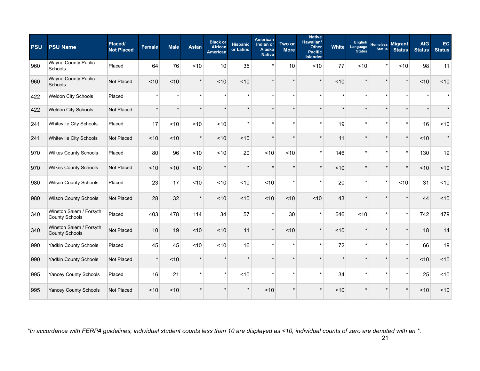| <b>PSU</b> | <b>PSU Name</b>                                  | Placed/<br><b>Not Placed</b> | Female  | <b>Male</b> | <b>Asian</b> | <b>Black or</b><br><b>African</b><br>American | <b>Hispanic</b><br>or Latino | American<br>Indian or<br><b>Alaska</b><br><b>Native</b> | Two or<br><b>More</b> | <b>Native</b><br>Hawaiian/<br><b>Other</b><br><b>Pacific</b><br><b>Islander</b> | White   | <b>English</b><br>Language<br><b>Status</b> | <b>Homeless</b><br><b>Status</b> | <b>Migrant</b><br><b>Status</b> | <b>AIG</b><br><b>Status</b> | EC<br><b>Status</b> |
|------------|--------------------------------------------------|------------------------------|---------|-------------|--------------|-----------------------------------------------|------------------------------|---------------------------------------------------------|-----------------------|---------------------------------------------------------------------------------|---------|---------------------------------------------|----------------------------------|---------------------------------|-----------------------------|---------------------|
| 960        | <b>Wayne County Public</b><br>Schools            | Placed                       | 64      | 76          | ~10          | 10                                            | 35                           |                                                         | 10                    | ~10                                                                             | 77      | ~10                                         | $\star$                          | ~10                             | 98                          | 11                  |
| 960        | Wayne County Public<br>Schools                   | Not Placed                   | ~10     | ~10         | $\star$      | ~10                                           | ~10                          |                                                         |                       | $\star$                                                                         | ~10     | $\star$                                     |                                  |                                 | ~10                         | ~10                 |
| 422        | Weldon City Schools                              | Placed                       | $\star$ | $\star$     | $\star$      | ź.                                            | $\star$                      | $\star$                                                 |                       | $\star$                                                                         | $\star$ | $\star$                                     |                                  |                                 | $\star$                     | $\star$             |
| 422        | Weldon City Schools                              | Not Placed                   | $\star$ | $\star$     | $\star$      | $\star$                                       | $\star$                      |                                                         |                       | $\star$                                                                         | $\star$ | $\star$                                     |                                  |                                 |                             |                     |
| 241        | Whiteville City Schools                          | Placed                       | 17      | ~10         | ~10          | ~10                                           |                              |                                                         |                       | $\star$                                                                         | 19      | $\star$                                     |                                  |                                 | 16                          | ~10                 |
| 241        | Whiteville City Schools                          | Not Placed                   | ~10     | ~10         | $\star$      | ~10                                           | ~10                          |                                                         |                       | $\star$                                                                         | 11      | $\star$                                     |                                  |                                 | ~10                         | $\star$             |
| 970        | <b>Wilkes County Schools</b>                     | Placed                       | 80      | 96          | ~10          | ~10                                           | 20                           | ~10                                                     | ~10                   | $\star$                                                                         | 146     | $\star$                                     |                                  |                                 | 130                         | 19                  |
| 970        | <b>Wilkes County Schools</b>                     | Not Placed                   | ~10     | ~10         | ~10          | $\star$                                       | $\star$                      |                                                         |                       | $\star$                                                                         | ~10     | $\star$                                     | $\star$                          |                                 | ~10                         | ~10                 |
| 980        | Wilson County Schools                            | Placed                       | 23      | 17          | < 10         | ~10                                           | ~10                          | ~10                                                     | $\star$               | $\star$                                                                         | 20      | $\star$                                     | $\star$                          | < 10                            | 31                          | ~10                 |
| 980        | <b>Wilson County Schools</b>                     | Not Placed                   | 28      | 32          | $\star$      | ~10                                           | ~10                          | ~10                                                     | ~10                   | ~10                                                                             | 43      | $\star$                                     |                                  |                                 | 44                          | ~10                 |
| 340        | Winston Salem / Forsyth<br>County Schools        | Placed                       | 403     | 478         | 114          | 34                                            | 57                           | $\star$                                                 | 30                    | $\star$                                                                         | 646     | ~10                                         | $\star$                          | $\star$                         | 742                         | 479                 |
| 340        | Winston Salem / Forsyth<br><b>County Schools</b> | Not Placed                   | 10      | 19          | ~10          | ~10                                           | 11                           | $\star$                                                 | ~10                   | $\star$                                                                         | ~10     | $\star$                                     |                                  |                                 | 18                          | 14                  |
| 990        | Yadkin County Schools                            | Placed                       | 45      | 45          | <10          | ~10                                           | 16                           | $\star$                                                 | $\star$               | $\star$                                                                         | 72      | $\star$                                     | $\star$                          |                                 | 66                          | 19                  |
| 990        | Yadkin County Schools                            | Not Placed                   | $\star$ | ~10         | $\star$      |                                               |                              |                                                         |                       | $\star$                                                                         | $\star$ | $\star$                                     |                                  |                                 | ~10                         | ~10                 |
| 995        | Yancey County Schools                            | Placed                       | 16      | 21          | $\star$      | $\star$                                       | ~10                          | $\star$                                                 | $\star$               | $\star$                                                                         | 34      | $\star$                                     |                                  |                                 | 25                          | ~10                 |
| 995        | <b>Yancey County Schools</b>                     | Not Placed                   | ~10     | ~10         | *            |                                               |                              | ~10                                                     |                       | $\star$                                                                         | < 10    | $\star$                                     |                                  |                                 | < 10                        | ~10                 |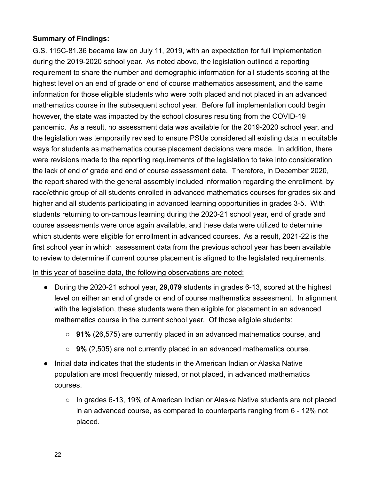### **Summary of Findings:**

G.S. 115C-81.36 became law on July 11, 2019, with an expectation for full implementation during the 2019-2020 school year. As noted above, the legislation outlined a reporting requirement to share the number and demographic information for all students scoring at the highest level on an end of grade or end of course mathematics assessment, and the same information for those eligible students who were both placed and not placed in an advanced mathematics course in the subsequent school year. Before full implementation could begin however, the state was impacted by the school closures resulting from the COVID-19 pandemic. As a result, no assessment data was available for the 2019-2020 school year, and the legislation was temporarily revised to ensure PSUs considered all existing data in equitable ways for students as mathematics course placement decisions were made. In addition, there were revisions made to the reporting requirements of the legislation to take into consideration the lack of end of grade and end of course assessment data. Therefore, in December 2020, the report shared with the general assembly included information regarding the enrollment, by race/ethnic group of all students enrolled in advanced mathematics courses for grades six and higher and all students participating in advanced learning opportunities in grades 3-5. With students returning to on-campus learning during the 2020-21 school year, end of grade and course assessments were once again available, and these data were utilized to determine which students were eligible for enrollment in advanced courses. As a result, 2021-22 is the first school year in which assessment data from the previous school year has been available to review to determine if current course placement is aligned to the legislated requirements.

In this year of baseline data, the following observations are noted:

- During the 2020-21 school year, **29,079** students in grades 6-13, scored at the highest level on either an end of grade or end of course mathematics assessment. In alignment with the legislation, these students were then eligible for placement in an advanced mathematics course in the current school year. Of those eligible students:
	- **91%** (26,575) are currently placed in an advanced mathematics course, and
	- **9%** (2,505) are not currently placed in an advanced mathematics course.
- Initial data indicates that the students in the American Indian or Alaska Native population are most frequently missed, or not placed, in advanced mathematics courses.
	- In grades 6-13, 19% of American Indian or Alaska Native students are not placed in an advanced course, as compared to counterparts ranging from 6 - 12% not placed.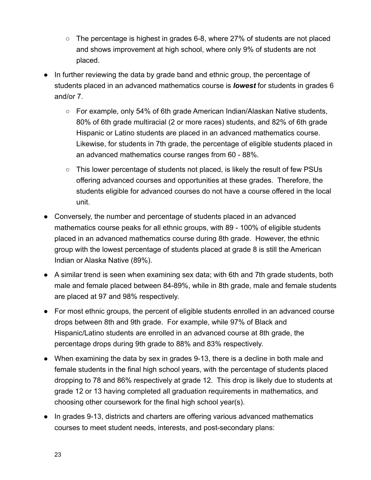- $\circ$  The percentage is highest in grades 6-8, where 27% of students are not placed and shows improvement at high school, where only 9% of students are not placed.
- In further reviewing the data by grade band and ethnic group, the percentage of students placed in an advanced mathematics course is *lowest* for students in grades 6 and/or 7.
	- For example, only 54% of 6th grade American Indian/Alaskan Native students, 80% of 6th grade multiracial (2 or more races) students, and 82% of 6th grade Hispanic or Latino students are placed in an advanced mathematics course. Likewise, for students in 7th grade, the percentage of eligible students placed in an advanced mathematics course ranges from 60 - 88%.
	- This lower percentage of students not placed, is likely the result of few PSUs offering advanced courses and opportunities at these grades. Therefore, the students eligible for advanced courses do not have a course offered in the local unit.
- Conversely, the number and percentage of students placed in an advanced mathematics course peaks for all ethnic groups, with 89 - 100% of eligible students placed in an advanced mathematics course during 8th grade. However, the ethnic group with the lowest percentage of students placed at grade 8 is still the American Indian or Alaska Native (89%).
- A similar trend is seen when examining sex data; with 6th and 7th grade students, both male and female placed between 84-89%, while in 8th grade, male and female students are placed at 97 and 98% respectively.
- For most ethnic groups, the percent of eligible students enrolled in an advanced course drops between 8th and 9th grade. For example, while 97% of Black and Hispanic/Latino students are enrolled in an advanced course at 8th grade, the percentage drops during 9th grade to 88% and 83% respectively.
- When examining the data by sex in grades 9-13, there is a decline in both male and female students in the final high school years, with the percentage of students placed dropping to 78 and 86% respectively at grade 12. This drop is likely due to students at grade 12 or 13 having completed all graduation requirements in mathematics, and choosing other coursework for the final high school year(s).
- In grades 9-13, districts and charters are offering various advanced mathematics courses to meet student needs, interests, and post-secondary plans: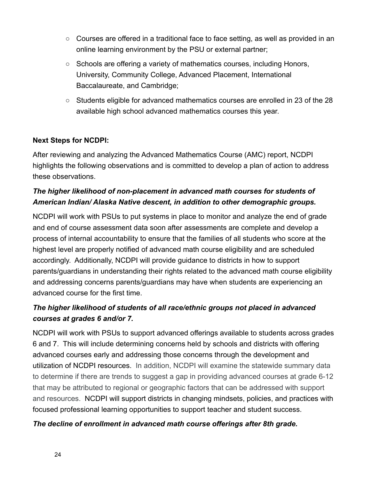- $\circ$  Courses are offered in a traditional face to face setting, as well as provided in an online learning environment by the PSU or external partner;
- Schools are offering a variety of mathematics courses, including Honors, University, Community College, Advanced Placement, International Baccalaureate, and Cambridge;
- Students eligible for advanced mathematics courses are enrolled in 23 of the 28 available high school advanced mathematics courses this year.

## **Next Steps for NCDPI:**

After reviewing and analyzing the Advanced Mathematics Course (AMC) report, NCDPI highlights the following observations and is committed to develop a plan of action to address these observations.

## *The higher likelihood of non-placement in advanced math courses for students of American Indian/ Alaska Native descent, in addition to other demographic groups.*

NCDPI will work with PSUs to put systems in place to monitor and analyze the end of grade and end of course assessment data soon after assessments are complete and develop a process of internal accountability to ensure that the families of all students who score at the highest level are properly notified of advanced math course eligibility and are scheduled accordingly. Additionally, NCDPI will provide guidance to districts in how to support parents/guardians in understanding their rights related to the advanced math course eligibility and addressing concerns parents/guardians may have when students are experiencing an advanced course for the first time.

# *The higher likelihood of students of all race/ethnic groups not placed in advanced courses at grades 6 and/or 7.*

NCDPI will work with PSUs to support advanced offerings available to students across grades 6 and 7. This will include determining concerns held by schools and districts with offering advanced courses early and addressing those concerns through the development and utilization of NCDPI resources. In addition, NCDPI will examine the statewide summary data to determine if there are trends to suggest a gap in providing advanced courses at grade 6-12 that may be attributed to regional or geographic factors that can be addressed with support and resources. NCDPI will support districts in changing mindsets, policies, and practices with focused professional learning opportunities to support teacher and student success.

### *The decline of enrollment in advanced math course offerings after 8th grade.*